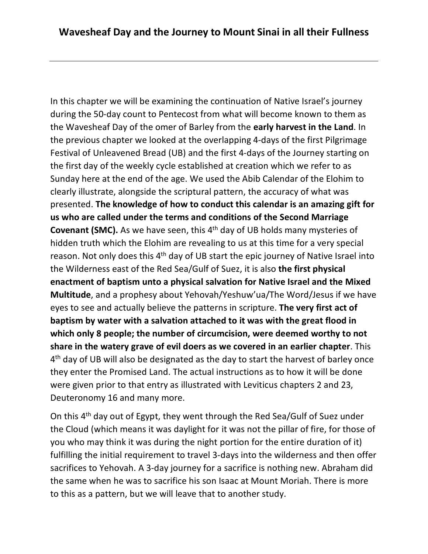In this chapter we will be examining the continuation of Native Israel's journey during the 50-day count to Pentecost from what will become known to them as the Wavesheaf Day of the omer of Barley from the **early harvest in the Land**. In the previous chapter we looked at the overlapping 4-days of the first Pilgrimage Festival of Unleavened Bread (UB) and the first 4-days of the Journey starting on the first day of the weekly cycle established at creation which we refer to as Sunday here at the end of the age. We used the Abib Calendar of the Elohim to clearly illustrate, alongside the scriptural pattern, the accuracy of what was presented. **The knowledge of how to conduct this calendar is an amazing gift for us who are called under the terms and conditions of the Second Marriage Covenant (SMC).** As we have seen, this 4<sup>th</sup> day of UB holds many mysteries of hidden truth which the Elohim are revealing to us at this time for a very special reason. Not only does this 4th day of UB start the epic journey of Native Israel into the Wilderness east of the Red Sea/Gulf of Suez, it is also **the first physical enactment of baptism unto a physical salvation for Native Israel and the Mixed Multitude**, and a prophesy about Yehovah/Yeshuw'ua/The Word/Jesus if we have eyes to see and actually believe the patterns in scripture. **The very first act of baptism by water with a salvation attached to it was with the great flood in which only 8 people; the number of circumcision, were deemed worthy to not share in the watery grave of evil doers as we covered in an earlier chapter**. This 4<sup>th</sup> day of UB will also be designated as the day to start the harvest of barley once they enter the Promised Land. The actual instructions as to how it will be done were given prior to that entry as illustrated with Leviticus chapters 2 and 23, Deuteronomy 16 and many more.

On this 4th day out of Egypt, they went through the Red Sea/Gulf of Suez under the Cloud (which means it was daylight for it was not the pillar of fire, for those of you who may think it was during the night portion for the entire duration of it) fulfilling the initial requirement to travel 3-days into the wilderness and then offer sacrifices to Yehovah. A 3-day journey for a sacrifice is nothing new. Abraham did the same when he was to sacrifice his son Isaac at Mount Moriah. There is more to this as a pattern, but we will leave that to another study.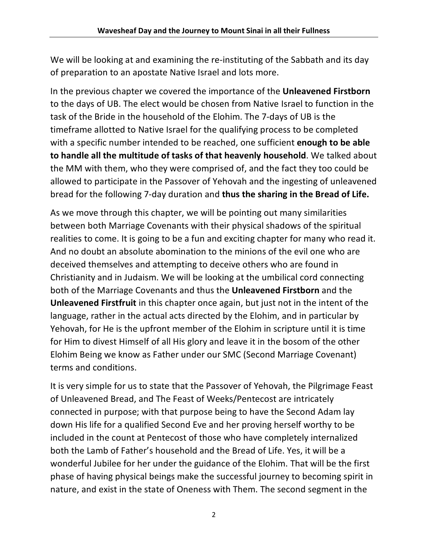We will be looking at and examining the re-instituting of the Sabbath and its day of preparation to an apostate Native Israel and lots more.

In the previous chapter we covered the importance of the **Unleavened Firstborn** to the days of UB. The elect would be chosen from Native Israel to function in the task of the Bride in the household of the Elohim. The 7-days of UB is the timeframe allotted to Native Israel for the qualifying process to be completed with a specific number intended to be reached, one sufficient **enough to be able to handle all the multitude of tasks of that heavenly household**. We talked about the MM with them, who they were comprised of, and the fact they too could be allowed to participate in the Passover of Yehovah and the ingesting of unleavened bread for the following 7-day duration and **thus the sharing in the Bread of Life.**

As we move through this chapter, we will be pointing out many similarities between both Marriage Covenants with their physical shadows of the spiritual realities to come. It is going to be a fun and exciting chapter for many who read it. And no doubt an absolute abomination to the minions of the evil one who are deceived themselves and attempting to deceive others who are found in Christianity and in Judaism. We will be looking at the umbilical cord connecting both of the Marriage Covenants and thus the **Unleavened Firstborn** and the **Unleavened Firstfruit** in this chapter once again, but just not in the intent of the language, rather in the actual acts directed by the Elohim, and in particular by Yehovah, for He is the upfront member of the Elohim in scripture until it is time for Him to divest Himself of all His glory and leave it in the bosom of the other Elohim Being we know as Father under our SMC (Second Marriage Covenant) terms and conditions.

It is very simple for us to state that the Passover of Yehovah, the Pilgrimage Feast of Unleavened Bread, and The Feast of Weeks/Pentecost are intricately connected in purpose; with that purpose being to have the Second Adam lay down His life for a qualified Second Eve and her proving herself worthy to be included in the count at Pentecost of those who have completely internalized both the Lamb of Father's household and the Bread of Life. Yes, it will be a wonderful Jubilee for her under the guidance of the Elohim. That will be the first phase of having physical beings make the successful journey to becoming spirit in nature, and exist in the state of Oneness with Them. The second segment in the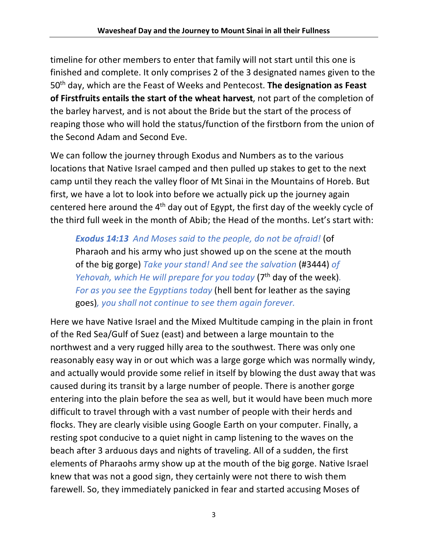timeline for other members to enter that family will not start until this one is finished and complete. It only comprises 2 of the 3 designated names given to the 50th day, which are the Feast of Weeks and Pentecost. **The designation as Feast of Firstfruits entails the start of the wheat harvest**, not part of the completion of the barley harvest, and is not about the Bride but the start of the process of reaping those who will hold the status/function of the firstborn from the union of the Second Adam and Second Eve.

We can follow the journey through Exodus and Numbers as to the various locations that Native Israel camped and then pulled up stakes to get to the next camp until they reach the valley floor of Mt Sinai in the Mountains of Horeb. But first, we have a lot to look into before we actually pick up the journey again centered here around the 4<sup>th</sup> day out of Egypt, the first day of the weekly cycle of the third full week in the month of Abib; the Head of the months. Let's start with:

*Exodus 14:13 And Moses said to the people, do not be afraid!* (of Pharaoh and his army who just showed up on the scene at the mouth of the big gorge) *Take your stand! And see the salvation* (#3444) *of Yehovah, which He will prepare for you today* (7<sup>th</sup> day of the week). *For as you see the Egyptians today* (hell bent for leather as the saying goes)*, you shall not continue to see them again forever.*

Here we have Native Israel and the Mixed Multitude camping in the plain in front of the Red Sea/Gulf of Suez (east) and between a large mountain to the northwest and a very rugged hilly area to the southwest. There was only one reasonably easy way in or out which was a large gorge which was normally windy, and actually would provide some relief in itself by blowing the dust away that was caused during its transit by a large number of people. There is another gorge entering into the plain before the sea as well, but it would have been much more difficult to travel through with a vast number of people with their herds and flocks. They are clearly visible using Google Earth on your computer. Finally, a resting spot conducive to a quiet night in camp listening to the waves on the beach after 3 arduous days and nights of traveling. All of a sudden, the first elements of Pharaohs army show up at the mouth of the big gorge. Native Israel knew that was not a good sign, they certainly were not there to wish them farewell. So, they immediately panicked in fear and started accusing Moses of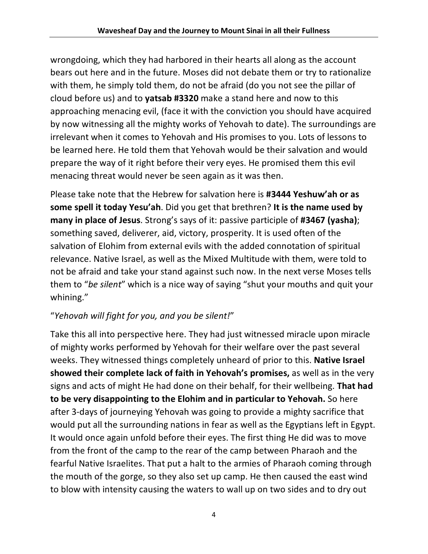wrongdoing, which they had harbored in their hearts all along as the account bears out here and in the future. Moses did not debate them or try to rationalize with them, he simply told them, do not be afraid (do you not see the pillar of cloud before us) and to **yatsab #3320** make a stand here and now to this approaching menacing evil, (face it with the conviction you should have acquired by now witnessing all the mighty works of Yehovah to date). The surroundings are irrelevant when it comes to Yehovah and His promises to you. Lots of lessons to be learned here. He told them that Yehovah would be their salvation and would prepare the way of it right before their very eyes. He promised them this evil menacing threat would never be seen again as it was then.

Please take note that the Hebrew for salvation here is **#3444 Yeshuw'ah or as some spell it today Yesu'ah**. Did you get that brethren? **It is the name used by many in place of Jesus**. Strong's says of it: passive participle of **#3467 (yasha)**; something saved, deliverer, aid, victory, prosperity. It is used often of the salvation of Elohim from external evils with the added connotation of spiritual relevance. Native Israel, as well as the Mixed Multitude with them, were told to not be afraid and take your stand against such now. In the next verse Moses tells them to "*be silent*" which is a nice way of saying "shut your mouths and quit your whining."

# "*Yehovah will fight for you, and you be silent!*"

Take this all into perspective here. They had just witnessed miracle upon miracle of mighty works performed by Yehovah for their welfare over the past several weeks. They witnessed things completely unheard of prior to this. **Native Israel showed their complete lack of faith in Yehovah's promises,** as well as in the very signs and acts of might He had done on their behalf, for their wellbeing. **That had to be very disappointing to the Elohim and in particular to Yehovah.** So here after 3-days of journeying Yehovah was going to provide a mighty sacrifice that would put all the surrounding nations in fear as well as the Egyptians left in Egypt. It would once again unfold before their eyes. The first thing He did was to move from the front of the camp to the rear of the camp between Pharaoh and the fearful Native Israelites. That put a halt to the armies of Pharaoh coming through the mouth of the gorge, so they also set up camp. He then caused the east wind to blow with intensity causing the waters to wall up on two sides and to dry out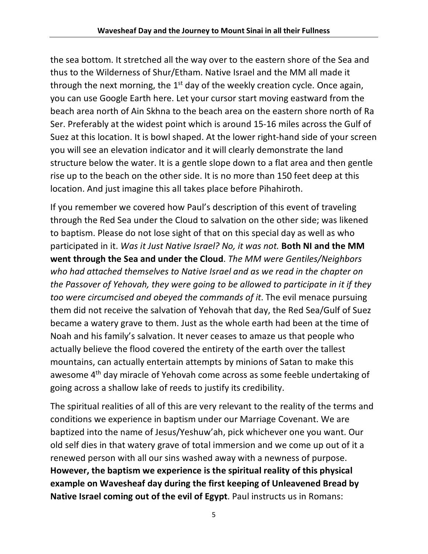the sea bottom. It stretched all the way over to the eastern shore of the Sea and thus to the Wilderness of Shur/Etham. Native Israel and the MM all made it through the next morning, the  $1<sup>st</sup>$  day of the weekly creation cycle. Once again, you can use Google Earth here. Let your cursor start moving eastward from the beach area north of Ain Skhna to the beach area on the eastern shore north of Ra Ser. Preferably at the widest point which is around 15-16 miles across the Gulf of Suez at this location. It is bowl shaped. At the lower right-hand side of your screen you will see an elevation indicator and it will clearly demonstrate the land structure below the water. It is a gentle slope down to a flat area and then gentle rise up to the beach on the other side. It is no more than 150 feet deep at this location. And just imagine this all takes place before Pihahiroth.

If you remember we covered how Paul's description of this event of traveling through the Red Sea under the Cloud to salvation on the other side; was likened to baptism. Please do not lose sight of that on this special day as well as who participated in it. *Was it Just Native Israel? No, it was not.* **Both NI and the MM went through the Sea and under the Cloud**. *The MM were Gentiles/Neighbors who had attached themselves to Native Israel and as we read in the chapter on the Passover of Yehovah, they were going to be allowed to participate in it if they too were circumcised and obeyed the commands of it*. The evil menace pursuing them did not receive the salvation of Yehovah that day, the Red Sea/Gulf of Suez became a watery grave to them. Just as the whole earth had been at the time of Noah and his family's salvation. It never ceases to amaze us that people who actually believe the flood covered the entirety of the earth over the tallest mountains, can actually entertain attempts by minions of Satan to make this awesome 4<sup>th</sup> day miracle of Yehovah come across as some feeble undertaking of going across a shallow lake of reeds to justify its credibility.

The spiritual realities of all of this are very relevant to the reality of the terms and conditions we experience in baptism under our Marriage Covenant. We are baptized into the name of Jesus/Yeshuw'ah, pick whichever one you want. Our old self dies in that watery grave of total immersion and we come up out of it a renewed person with all our sins washed away with a newness of purpose. **However, the baptism we experience is the spiritual reality of this physical example on Wavesheaf day during the first keeping of Unleavened Bread by Native Israel coming out of the evil of Egypt**. Paul instructs us in Romans: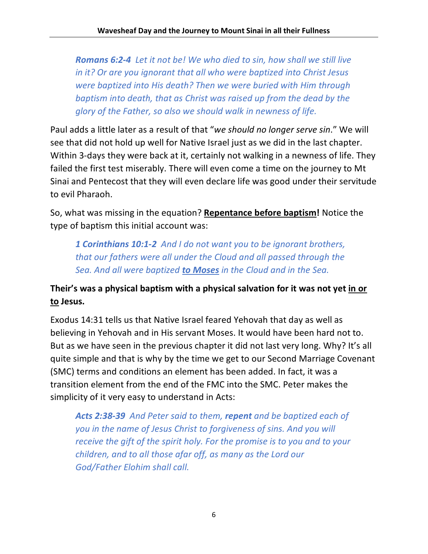*Romans 6:2-4 Let it not be! We who died to sin, how shall we still live in it? Or are you ignorant that all who were baptized into Christ Jesus were baptized into His death? Then we were buried with Him through baptism into death, that as Christ was raised up from the dead by the glory of the Father, so also we should walk in newness of life.*

Paul adds a little later as a result of that "*we should no longer serve sin*." We will see that did not hold up well for Native Israel just as we did in the last chapter. Within 3-days they were back at it, certainly not walking in a newness of life. They failed the first test miserably. There will even come a time on the journey to Mt Sinai and Pentecost that they will even declare life was good under their servitude to evil Pharaoh.

So, what was missing in the equation? **Repentance before baptism!** Notice the type of baptism this initial account was:

*1 Corinthians 10:1-2 And I do not want you to be ignorant brothers, that our fathers were all under the Cloud and all passed through the Sea. And all were baptized to Moses in the Cloud and in the Sea.*

# **Their's was a physical baptism with a physical salvation for it was not yet in or to Jesus.**

Exodus 14:31 tells us that Native Israel feared Yehovah that day as well as believing in Yehovah and in His servant Moses. It would have been hard not to. But as we have seen in the previous chapter it did not last very long. Why? It's all quite simple and that is why by the time we get to our Second Marriage Covenant (SMC) terms and conditions an element has been added. In fact, it was a transition element from the end of the FMC into the SMC. Peter makes the simplicity of it very easy to understand in Acts:

*Acts 2:38-39 And Peter said to them, repent and be baptized each of you in the name of Jesus Christ to forgiveness of sins. And you will receive the gift of the spirit holy. For the promise is to you and to your children, and to all those afar off, as many as the Lord our God/Father Elohim shall call.*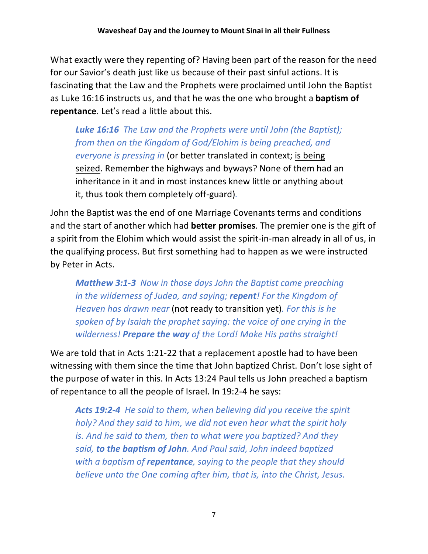What exactly were they repenting of? Having been part of the reason for the need for our Savior's death just like us because of their past sinful actions. It is fascinating that the Law and the Prophets were proclaimed until John the Baptist as Luke 16:16 instructs us, and that he was the one who brought a **baptism of repentance**. Let's read a little about this.

*Luke 16:16 The Law and the Prophets were until John (the Baptist); from then on the Kingdom of God/Elohim is being preached, and everyone is pressing in* (or better translated in context; is being seized. Remember the highways and byways? None of them had an inheritance in it and in most instances knew little or anything about it, thus took them completely off-guard)*.*

John the Baptist was the end of one Marriage Covenants terms and conditions and the start of another which had **better promises**. The premier one is the gift of a spirit from the Elohim which would assist the spirit-in-man already in all of us, in the qualifying process. But first something had to happen as we were instructed by Peter in Acts.

*Matthew 3:1-3 Now in those days John the Baptist came preaching in the wilderness of Judea, and saying; repent! For the Kingdom of Heaven has drawn near* (not ready to transition yet)*. For this is he spoken of by Isaiah the prophet saying: the voice of one crying in the wilderness! Prepare the way of the Lord! Make His paths straight!*

We are told that in Acts 1:21-22 that a replacement apostle had to have been witnessing with them since the time that John baptized Christ. Don't lose sight of the purpose of water in this. In Acts 13:24 Paul tells us John preached a baptism of repentance to all the people of Israel. In 19:2-4 he says:

*Acts 19:2-4 He said to them, when believing did you receive the spirit holy? And they said to him, we did not even hear what the spirit holy is. And he said to them, then to what were you baptized? And they said, to the baptism of John. And Paul said, John indeed baptized with a baptism of repentance, saying to the people that they should believe unto the One coming after him, that is, into the Christ, Jesus.*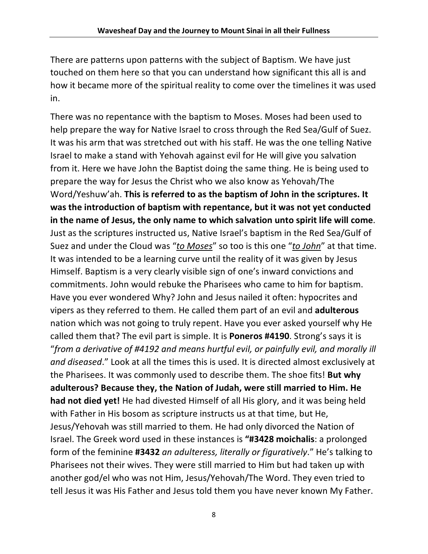There are patterns upon patterns with the subject of Baptism. We have just touched on them here so that you can understand how significant this all is and how it became more of the spiritual reality to come over the timelines it was used in.

There was no repentance with the baptism to Moses. Moses had been used to help prepare the way for Native Israel to cross through the Red Sea/Gulf of Suez. It was his arm that was stretched out with his staff. He was the one telling Native Israel to make a stand with Yehovah against evil for He will give you salvation from it. Here we have John the Baptist doing the same thing. He is being used to prepare the way for Jesus the Christ who we also know as Yehovah/The Word/Yeshuw'ah. **This is referred to as the baptism of John in the scriptures. It was the introduction of baptism with repentance, but it was not yet conducted in the name of Jesus, the only name to which salvation unto spirit life will come**. Just as the scriptures instructed us, Native Israel's baptism in the Red Sea/Gulf of Suez and under the Cloud was "*to Moses*" so too is this one "*to John*" at that time. It was intended to be a learning curve until the reality of it was given by Jesus Himself. Baptism is a very clearly visible sign of one's inward convictions and commitments. John would rebuke the Pharisees who came to him for baptism. Have you ever wondered Why? John and Jesus nailed it often: hypocrites and vipers as they referred to them. He called them part of an evil and **adulterous** nation which was not going to truly repent. Have you ever asked yourself why He called them that? The evil part is simple. It is **Poneros #4190**. Strong's says it is "*from a derivative of #4192 and means hurtful evil, or painfully evil, and morally ill and diseased*." Look at all the times this is used. It is directed almost exclusively at the Pharisees. It was commonly used to describe them. The shoe fits! **But why adulterous? Because they, the Nation of Judah, were still married to Him. He had not died yet!** He had divested Himself of all His glory, and it was being held with Father in His bosom as scripture instructs us at that time, but He, Jesus/Yehovah was still married to them. He had only divorced the Nation of Israel. The Greek word used in these instances is **"#3428 moichalis**: a prolonged form of the feminine **#3432** *an adulteress, literally or figuratively*." He's talking to Pharisees not their wives. They were still married to Him but had taken up with another god/el who was not Him, Jesus/Yehovah/The Word. They even tried to tell Jesus it was His Father and Jesus told them you have never known My Father.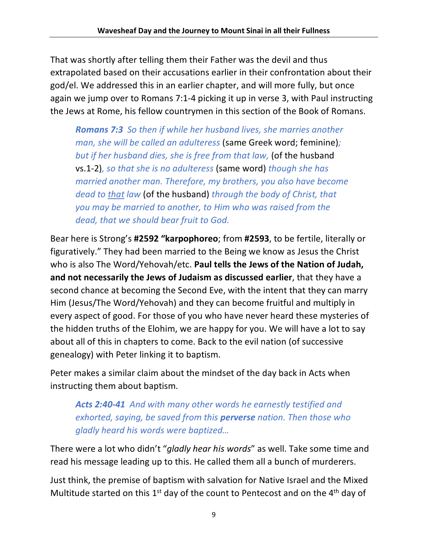That was shortly after telling them their Father was the devil and thus extrapolated based on their accusations earlier in their confrontation about their god/el. We addressed this in an earlier chapter, and will more fully, but once again we jump over to Romans 7:1-4 picking it up in verse 3, with Paul instructing the Jews at Rome, his fellow countrymen in this section of the Book of Romans.

*Romans 7:3 So then if while her husband lives, she marries another man, she will be called an adulteress* (same Greek word; feminine)*; but if her husband dies, she is free from that law,* (of the husband vs.1-2)*, so that she is no adulteress* (same word) *though she has married another man. Therefore, my brothers, you also have become dead to that law* (of the husband) *through the body of Christ, that you may be married to another, to Him who was raised from the dead, that we should bear fruit to God.*

Bear here is Strong's **#2592 "karpophoreo**; from **#2593**, to be fertile, literally or figuratively." They had been married to the Being we know as Jesus the Christ who is also The Word/Yehovah/etc. **Paul tells the Jews of the Nation of Judah, and not necessarily the Jews of Judaism as discussed earlier**, that they have a second chance at becoming the Second Eve, with the intent that they can marry Him (Jesus/The Word/Yehovah) and they can become fruitful and multiply in every aspect of good. For those of you who have never heard these mysteries of the hidden truths of the Elohim, we are happy for you. We will have a lot to say about all of this in chapters to come. Back to the evil nation (of successive genealogy) with Peter linking it to baptism.

Peter makes a similar claim about the mindset of the day back in Acts when instructing them about baptism.

*Acts 2:40-41 And with many other words he earnestly testified and exhorted, saying, be saved from this perverse nation. Then those who gladly heard his words were baptized…*

There were a lot who didn't "*gladly hear his words*" as well. Take some time and read his message leading up to this. He called them all a bunch of murderers.

Just think, the premise of baptism with salvation for Native Israel and the Mixed Multitude started on this  $1<sup>st</sup>$  day of the count to Pentecost and on the  $4<sup>th</sup>$  day of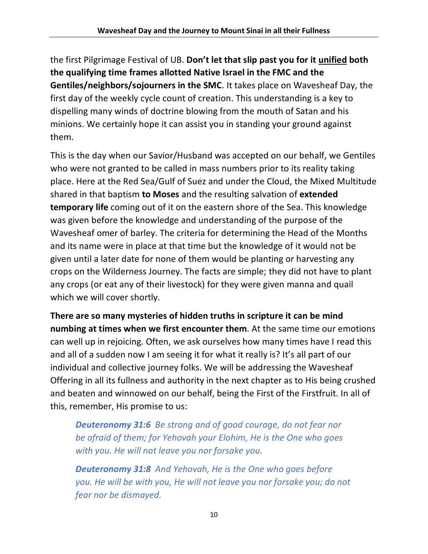the first Pilgrimage Festival of UB. **Don't let that slip past you for it unified both the qualifying time frames allotted Native Israel in the FMC and the Gentiles/neighbors/sojourners in the SMC**. It takes place on Wavesheaf Day, the first day of the weekly cycle count of creation. This understanding is a key to dispelling many winds of doctrine blowing from the mouth of Satan and his minions. We certainly hope it can assist you in standing your ground against them.

This is the day when our Savior/Husband was accepted on our behalf, we Gentiles who were not granted to be called in mass numbers prior to its reality taking place. Here at the Red Sea/Gulf of Suez and under the Cloud, the Mixed Multitude shared in that baptism **to Moses** and the resulting salvation of **extended temporary life** coming out of it on the eastern shore of the Sea. This knowledge was given before the knowledge and understanding of the purpose of the Wavesheaf omer of barley. The criteria for determining the Head of the Months and its name were in place at that time but the knowledge of it would not be given until a later date for none of them would be planting or harvesting any crops on the Wilderness Journey. The facts are simple; they did not have to plant any crops (or eat any of their livestock) for they were given manna and quail which we will cover shortly.

**There are so many mysteries of hidden truths in scripture it can be mind numbing at times when we first encounter them**. At the same time our emotions can well up in rejoicing. Often, we ask ourselves how many times have I read this and all of a sudden now I am seeing it for what it really is? It's all part of our individual and collective journey folks. We will be addressing the Wavesheaf Offering in all its fullness and authority in the next chapter as to His being crushed and beaten and winnowed on our behalf, being the First of the Firstfruit. In all of this, remember, His promise to us:

*Deuteronomy 31:6 Be strong and of good courage, do not fear nor be afraid of them; for Yehovah your Elohim, He is the One who goes with you. He will not leave you nor forsake you.*

*Deuteronomy 31:8 And Yehovah, He is the One who goes before you. He will be with you, He will not leave you nor forsake you; do not fear nor be dismayed.*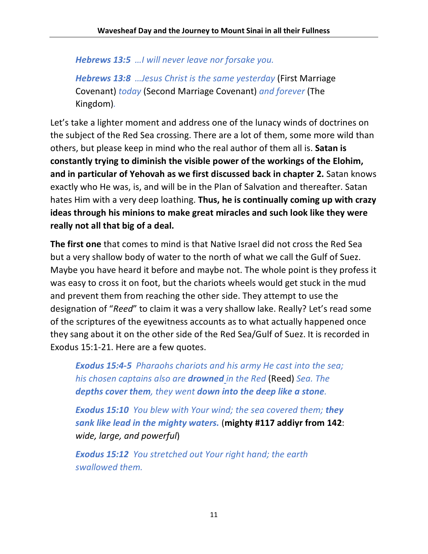*Hebrews 13:5 …I will never leave nor forsake you.*

*Hebrews 13:8 …Jesus Christ is the same yesterday* (First Marriage Covenant) *today* (Second Marriage Covenant) *and forever* (The Kingdom)*.*

Let's take a lighter moment and address one of the lunacy winds of doctrines on the subject of the Red Sea crossing. There are a lot of them, some more wild than others, but please keep in mind who the real author of them all is. **Satan is constantly trying to diminish the visible power of the workings of the Elohim, and in particular of Yehovah as we first discussed back in chapter 2.** Satan knows exactly who He was, is, and will be in the Plan of Salvation and thereafter. Satan hates Him with a very deep loathing. **Thus, he is continually coming up with crazy ideas through his minions to make great miracles and such look like they were really not all that big of a deal.** 

**The first one** that comes to mind is that Native Israel did not cross the Red Sea but a very shallow body of water to the north of what we call the Gulf of Suez. Maybe you have heard it before and maybe not. The whole point is they profess it was easy to cross it on foot, but the chariots wheels would get stuck in the mud and prevent them from reaching the other side. They attempt to use the designation of "*Reed*" to claim it was a very shallow lake. Really? Let's read some of the scriptures of the eyewitness accounts as to what actually happened once they sang about it on the other side of the Red Sea/Gulf of Suez. It is recorded in Exodus 15:1-21. Here are a few quotes.

*Exodus 15:4-5 Pharaohs chariots and his army He cast into the sea; his chosen captains also are drowned in the Red* (Reed) *Sea. The depths cover them, they went down into the deep like a stone.*

*Exodus 15:10 You blew with Your wind; the sea covered them; they sank like lead in the mighty waters.* (**mighty #117 addiyr from 142**: *wide, large, and powerful*)

*Exodus 15:12 You stretched out Your right hand; the earth swallowed them.*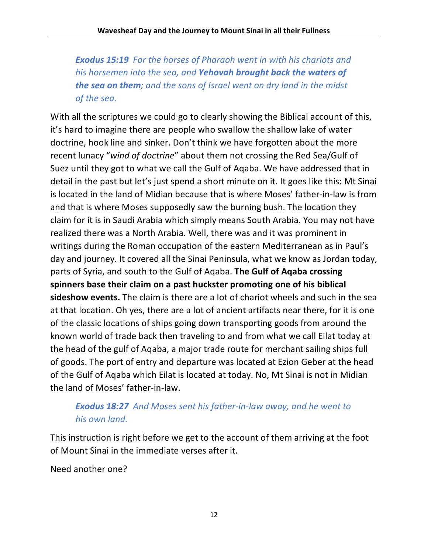*Exodus 15:19 For the horses of Pharaoh went in with his chariots and his horsemen into the sea, and Yehovah brought back the waters of the sea on them; and the sons of Israel went on dry land in the midst of the sea.*

With all the scriptures we could go to clearly showing the Biblical account of this, it's hard to imagine there are people who swallow the shallow lake of water doctrine, hook line and sinker. Don't think we have forgotten about the more recent lunacy "*wind of doctrine*" about them not crossing the Red Sea/Gulf of Suez until they got to what we call the Gulf of Aqaba. We have addressed that in detail in the past but let's just spend a short minute on it. It goes like this: Mt Sinai is located in the land of Midian because that is where Moses' father-in-law is from and that is where Moses supposedly saw the burning bush. The location they claim for it is in Saudi Arabia which simply means South Arabia. You may not have realized there was a North Arabia. Well, there was and it was prominent in writings during the Roman occupation of the eastern Mediterranean as in Paul's day and journey. It covered all the Sinai Peninsula, what we know as Jordan today, parts of Syria, and south to the Gulf of Aqaba. **The Gulf of Aqaba crossing spinners base their claim on a past huckster promoting one of his biblical sideshow events.** The claim is there are a lot of chariot wheels and such in the sea at that location. Oh yes, there are a lot of ancient artifacts near there, for it is one of the classic locations of ships going down transporting goods from around the known world of trade back then traveling to and from what we call Eilat today at the head of the gulf of Aqaba, a major trade route for merchant sailing ships full of goods. The port of entry and departure was located at Ezion Geber at the head of the Gulf of Aqaba which Eilat is located at today. No, Mt Sinai is not in Midian the land of Moses' father-in-law.

### *Exodus 18:27 And Moses sent his father-in-law away, and he went to his own land.*

This instruction is right before we get to the account of them arriving at the foot of Mount Sinai in the immediate verses after it.

Need another one?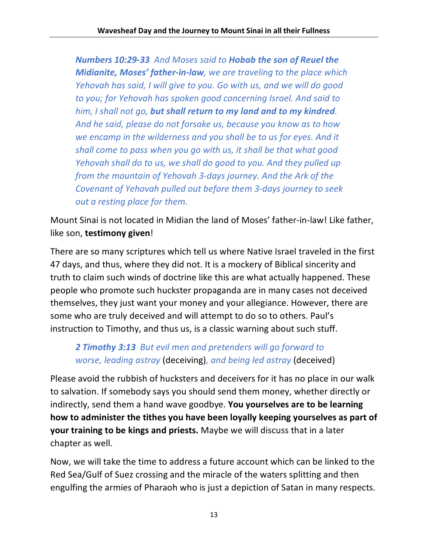*Numbers 10:29-33 And Moses said to Hobab the son of Reuel the Midianite, Moses' father-in-law, we are traveling to the place which Yehovah has said, I will give to you. Go with us, and we will do good to you; for Yehovah has spoken good concerning Israel. And said to him, I shall not go, but shall return to my land and to my kindred. And he said, please do not forsake us, because you know as to how we encamp in the wilderness and you shall be to us for eyes. And it shall come to pass when you go with us, it shall be that what good Yehovah shall do to us, we shall do good to you. And they pulled up from the mountain of Yehovah 3-days journey. And the Ark of the Covenant of Yehovah pulled out before them 3-days journey to seek out a resting place for them.*

Mount Sinai is not located in Midian the land of Moses' father-in-law! Like father, like son, **testimony given**!

There are so many scriptures which tell us where Native Israel traveled in the first 47 days, and thus, where they did not. It is a mockery of Biblical sincerity and truth to claim such winds of doctrine like this are what actually happened. These people who promote such huckster propaganda are in many cases not deceived themselves, they just want your money and your allegiance. However, there are some who are truly deceived and will attempt to do so to others. Paul's instruction to Timothy, and thus us, is a classic warning about such stuff.

*2 Timothy 3:13 But evil men and pretenders will go forward to worse, leading astray* (deceiving)*, and being led astray* (deceived)

Please avoid the rubbish of hucksters and deceivers for it has no place in our walk to salvation. If somebody says you should send them money, whether directly or indirectly, send them a hand wave goodbye. **You yourselves are to be learning how to administer the tithes you have been loyally keeping yourselves as part of your training to be kings and priests.** Maybe we will discuss that in a later chapter as well.

Now, we will take the time to address a future account which can be linked to the Red Sea/Gulf of Suez crossing and the miracle of the waters splitting and then engulfing the armies of Pharaoh who is just a depiction of Satan in many respects.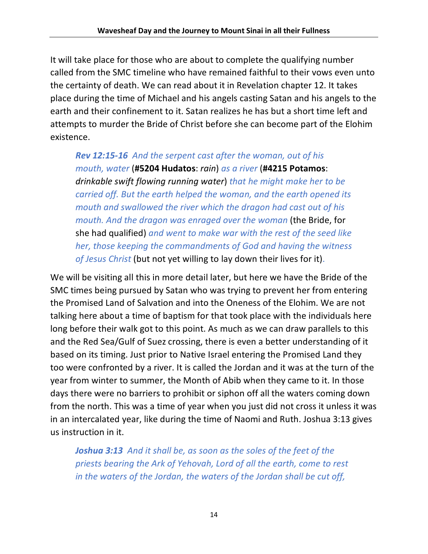It will take place for those who are about to complete the qualifying number called from the SMC timeline who have remained faithful to their vows even unto the certainty of death. We can read about it in Revelation chapter 12. It takes place during the time of Michael and his angels casting Satan and his angels to the earth and their confinement to it. Satan realizes he has but a short time left and attempts to murder the Bride of Christ before she can become part of the Elohim existence.

*Rev 12:15-16 And the serpent cast after the woman, out of his mouth, water* (**#5204 Hudatos**: *rain*) *as a river* (**#4215 Potamos**: *drinkable swift flowing running water*) *that he might make her to be carried off. But the earth helped the woman, and the earth opened its mouth and swallowed the river which the dragon had cast out of his mouth. And the dragon was enraged over the woman* (the Bride, for she had qualified) *and went to make war with the rest of the seed like her, those keeping the commandments of God and having the witness of Jesus Christ* (but not yet willing to lay down their lives for it).

We will be visiting all this in more detail later, but here we have the Bride of the SMC times being pursued by Satan who was trying to prevent her from entering the Promised Land of Salvation and into the Oneness of the Elohim. We are not talking here about a time of baptism for that took place with the individuals here long before their walk got to this point. As much as we can draw parallels to this and the Red Sea/Gulf of Suez crossing, there is even a better understanding of it based on its timing. Just prior to Native Israel entering the Promised Land they too were confronted by a river. It is called the Jordan and it was at the turn of the year from winter to summer, the Month of Abib when they came to it. In those days there were no barriers to prohibit or siphon off all the waters coming down from the north. This was a time of year when you just did not cross it unless it was in an intercalated year, like during the time of Naomi and Ruth. Joshua 3:13 gives us instruction in it.

*Joshua 3:13 And it shall be, as soon as the soles of the feet of the priests bearing the Ark of Yehovah, Lord of all the earth, come to rest in the waters of the Jordan, the waters of the Jordan shall be cut off,*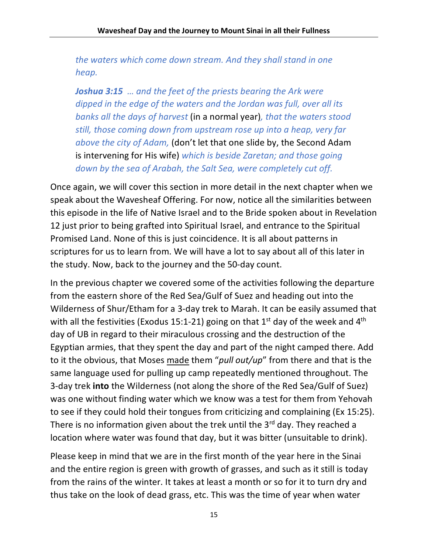*the waters which come down stream. And they shall stand in one heap.*

*Joshua 3:15 … and the feet of the priests bearing the Ark were dipped in the edge of the waters and the Jordan was full, over all its banks all the days of harvest* (in a normal year)*, that the waters stood still, those coming down from upstream rose up into a heap, very far above the city of Adam,* (don't let that one slide by, the Second Adam is intervening for His wife) *which is beside Zaretan; and those going down by the sea of Arabah, the Salt Sea, were completely cut off.*

Once again, we will cover this section in more detail in the next chapter when we speak about the Wavesheaf Offering. For now, notice all the similarities between this episode in the life of Native Israel and to the Bride spoken about in Revelation 12 just prior to being grafted into Spiritual Israel, and entrance to the Spiritual Promised Land. None of this is just coincidence. It is all about patterns in scriptures for us to learn from. We will have a lot to say about all of this later in the study. Now, back to the journey and the 50-day count.

In the previous chapter we covered some of the activities following the departure from the eastern shore of the Red Sea/Gulf of Suez and heading out into the Wilderness of Shur/Etham for a 3-day trek to Marah. It can be easily assumed that with all the festivities (Exodus 15:1-21) going on that 1<sup>st</sup> day of the week and 4<sup>th</sup> day of UB in regard to their miraculous crossing and the destruction of the Egyptian armies, that they spent the day and part of the night camped there. Add to it the obvious, that Moses made them "*pull out/up*" from there and that is the same language used for pulling up camp repeatedly mentioned throughout. The 3-day trek **into** the Wilderness (not along the shore of the Red Sea/Gulf of Suez) was one without finding water which we know was a test for them from Yehovah to see if they could hold their tongues from criticizing and complaining (Ex 15:25). There is no information given about the trek until the  $3<sup>rd</sup>$  day. They reached a location where water was found that day, but it was bitter (unsuitable to drink).

Please keep in mind that we are in the first month of the year here in the Sinai and the entire region is green with growth of grasses, and such as it still is today from the rains of the winter. It takes at least a month or so for it to turn dry and thus take on the look of dead grass, etc. This was the time of year when water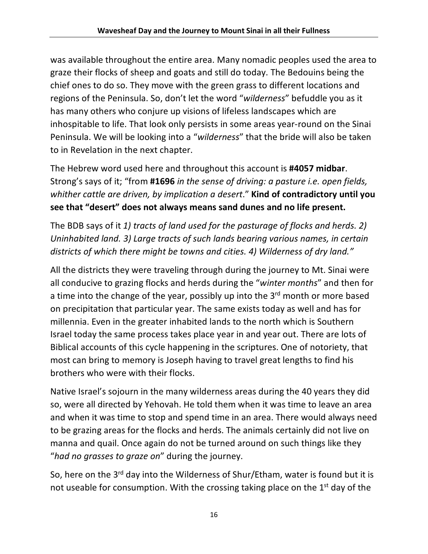was available throughout the entire area. Many nomadic peoples used the area to graze their flocks of sheep and goats and still do today. The Bedouins being the chief ones to do so. They move with the green grass to different locations and regions of the Peninsula. So, don't let the word "*wilderness*" befuddle you as it has many others who conjure up visions of lifeless landscapes which are inhospitable to life. That look only persists in some areas year-round on the Sinai Peninsula. We will be looking into a "*wilderness*" that the bride will also be taken to in Revelation in the next chapter.

The Hebrew word used here and throughout this account is **#4057 midbar**. Strong's says of it; "from **#1696** *in the sense of driving: a pasture i.e. open fields, whither cattle are driven, by implication a desert*." **Kind of contradictory until you see that "desert" does not always means sand dunes and no life present.** 

The BDB says of it *1) tracts of land used for the pasturage of flocks and herds. 2) Uninhabited land. 3) Large tracts of such lands bearing various names, in certain districts of which there might be towns and cities. 4) Wilderness of dry land."*

All the districts they were traveling through during the journey to Mt. Sinai were all conducive to grazing flocks and herds during the "*winter months*" and then for a time into the change of the year, possibly up into the 3<sup>rd</sup> month or more based on precipitation that particular year. The same exists today as well and has for millennia. Even in the greater inhabited lands to the north which is Southern Israel today the same process takes place year in and year out. There are lots of Biblical accounts of this cycle happening in the scriptures. One of notoriety, that most can bring to memory is Joseph having to travel great lengths to find his brothers who were with their flocks.

Native Israel's sojourn in the many wilderness areas during the 40 years they did so, were all directed by Yehovah. He told them when it was time to leave an area and when it was time to stop and spend time in an area. There would always need to be grazing areas for the flocks and herds. The animals certainly did not live on manna and quail. Once again do not be turned around on such things like they "*had no grasses to graze on*" during the journey.

So, here on the 3<sup>rd</sup> day into the Wilderness of Shur/Etham, water is found but it is not useable for consumption. With the crossing taking place on the  $1<sup>st</sup>$  day of the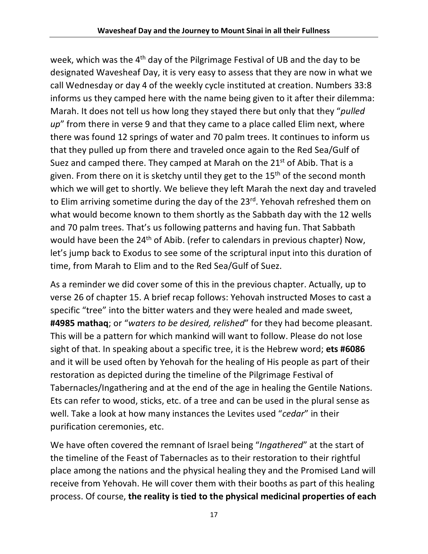week, which was the 4th day of the Pilgrimage Festival of UB and the day to be designated Wavesheaf Day, it is very easy to assess that they are now in what we call Wednesday or day 4 of the weekly cycle instituted at creation. Numbers 33:8 informs us they camped here with the name being given to it after their dilemma: Marah. It does not tell us how long they stayed there but only that they "*pulled up*" from there in verse 9 and that they came to a place called Elim next, where there was found 12 springs of water and 70 palm trees. It continues to inform us that they pulled up from there and traveled once again to the Red Sea/Gulf of Suez and camped there. They camped at Marah on the 21<sup>st</sup> of Abib. That is a given. From there on it is sketchy until they get to the  $15<sup>th</sup>$  of the second month which we will get to shortly. We believe they left Marah the next day and traveled to Elim arriving sometime during the day of the 23<sup>rd</sup>. Yehovah refreshed them on what would become known to them shortly as the Sabbath day with the 12 wells and 70 palm trees. That's us following patterns and having fun. That Sabbath would have been the 24<sup>th</sup> of Abib. (refer to calendars in previous chapter) Now, let's jump back to Exodus to see some of the scriptural input into this duration of time, from Marah to Elim and to the Red Sea/Gulf of Suez.

As a reminder we did cover some of this in the previous chapter. Actually, up to verse 26 of chapter 15. A brief recap follows: Yehovah instructed Moses to cast a specific "tree" into the bitter waters and they were healed and made sweet, **#4985 mathaq**; or "*waters to be desired, relished*" for they had become pleasant. This will be a pattern for which mankind will want to follow. Please do not lose sight of that. In speaking about a specific tree, it is the Hebrew word; **ets #6086** and it will be used often by Yehovah for the healing of His people as part of their restoration as depicted during the timeline of the Pilgrimage Festival of Tabernacles/Ingathering and at the end of the age in healing the Gentile Nations. Ets can refer to wood, sticks, etc. of a tree and can be used in the plural sense as well. Take a look at how many instances the Levites used "*cedar*" in their purification ceremonies, etc.

We have often covered the remnant of Israel being "*Ingathered*" at the start of the timeline of the Feast of Tabernacles as to their restoration to their rightful place among the nations and the physical healing they and the Promised Land will receive from Yehovah. He will cover them with their booths as part of this healing process. Of course, **the reality is tied to the physical medicinal properties of each**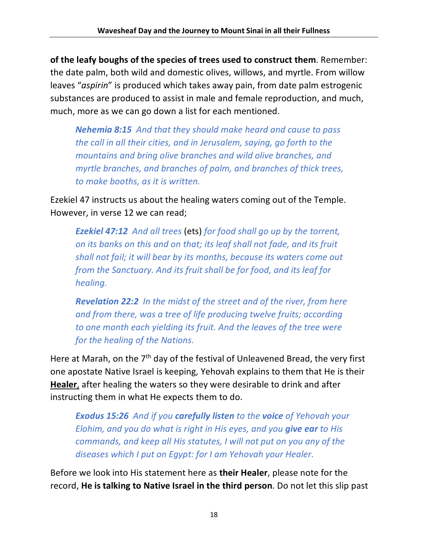**of the leafy boughs of the species of trees used to construct them**. Remember: the date palm, both wild and domestic olives, willows, and myrtle. From willow leaves "*aspirin*" is produced which takes away pain, from date palm estrogenic substances are produced to assist in male and female reproduction, and much, much, more as we can go down a list for each mentioned.

*Nehemia 8:15 And that they should make heard and cause to pass the call in all their cities, and in Jerusalem, saying, go forth to the mountains and bring olive branches and wild olive branches, and myrtle branches, and branches of palm, and branches of thick trees, to make booths, as it is written.*

Ezekiel 47 instructs us about the healing waters coming out of the Temple. However, in verse 12 we can read;

*Ezekiel 47:12 And all trees* (ets) *for food shall go up by the torrent, on its banks on this and on that; its leaf shall not fade, and its fruit shall not fail; it will bear by its months, because its waters come out from the Sanctuary. And its fruit shall be for food, and its leaf for healing.*

*Revelation 22:2 In the midst of the street and of the river, from here and from there, was a tree of life producing twelve fruits; according to one month each yielding its fruit. And the leaves of the tree were for the healing of the Nations.*

Here at Marah, on the  $7<sup>th</sup>$  day of the festival of Unleavened Bread, the very first one apostate Native Israel is keeping, Yehovah explains to them that He is their **Healer**, after healing the waters so they were desirable to drink and after instructing them in what He expects them to do.

*Exodus 15:26 And if you carefully listen to the voice of Yehovah your Elohim, and you do what is right in His eyes, and you give ear to His commands, and keep all His statutes, I will not put on you any of the diseases which I put on Egypt: for I am Yehovah your Healer.*

Before we look into His statement here as **their Healer**, please note for the record, **He is talking to Native Israel in the third person**. Do not let this slip past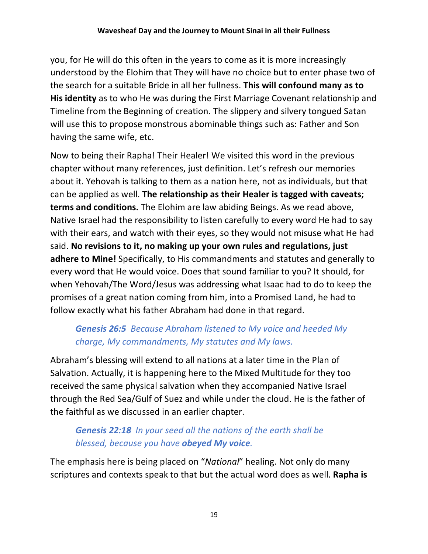you, for He will do this often in the years to come as it is more increasingly understood by the Elohim that They will have no choice but to enter phase two of the search for a suitable Bride in all her fullness. **This will confound many as to His identity** as to who He was during the First Marriage Covenant relationship and Timeline from the Beginning of creation. The slippery and silvery tongued Satan will use this to propose monstrous abominable things such as: Father and Son having the same wife, etc.

Now to being their Rapha! Their Healer! We visited this word in the previous chapter without many references, just definition. Let's refresh our memories about it. Yehovah is talking to them as a nation here, not as individuals, but that can be applied as well. **The relationship as their Healer is tagged with caveats; terms and conditions.** The Elohim are law abiding Beings. As we read above, Native Israel had the responsibility to listen carefully to every word He had to say with their ears, and watch with their eyes, so they would not misuse what He had said. **No revisions to it, no making up your own rules and regulations, just adhere to Mine!** Specifically, to His commandments and statutes and generally to every word that He would voice. Does that sound familiar to you? It should, for when Yehovah/The Word/Jesus was addressing what Isaac had to do to keep the promises of a great nation coming from him, into a Promised Land, he had to follow exactly what his father Abraham had done in that regard.

# *Genesis 26:5 Because Abraham listened to My voice and heeded My charge, My commandments, My statutes and My laws.*

Abraham's blessing will extend to all nations at a later time in the Plan of Salvation. Actually, it is happening here to the Mixed Multitude for they too received the same physical salvation when they accompanied Native Israel through the Red Sea/Gulf of Suez and while under the cloud. He is the father of the faithful as we discussed in an earlier chapter.

# *Genesis 22:18 In your seed all the nations of the earth shall be blessed, because you have obeyed My voice.*

The emphasis here is being placed on "*National*" healing. Not only do many scriptures and contexts speak to that but the actual word does as well. **Rapha is**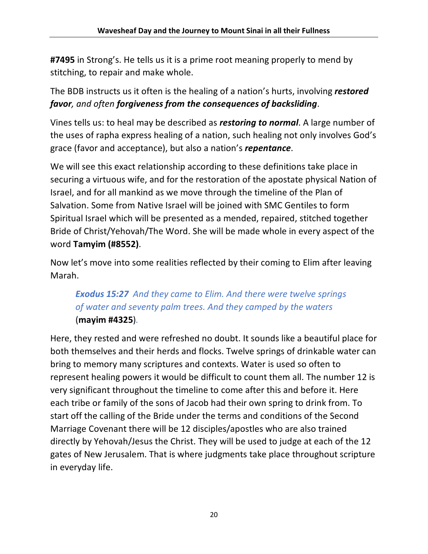**#7495** in Strong's. He tells us it is a prime root meaning properly to mend by stitching, to repair and make whole.

The BDB instructs us it often is the healing of a nation's hurts, involving *restored favor, and often forgiveness from the consequences of backsliding*.

Vines tells us: to heal may be described as *restoring to normal*. A large number of the uses of rapha express healing of a nation, such healing not only involves God's grace (favor and acceptance), but also a nation's *repentance*.

We will see this exact relationship according to these definitions take place in securing a virtuous wife, and for the restoration of the apostate physical Nation of Israel, and for all mankind as we move through the timeline of the Plan of Salvation. Some from Native Israel will be joined with SMC Gentiles to form Spiritual Israel which will be presented as a mended, repaired, stitched together Bride of Christ/Yehovah/The Word. She will be made whole in every aspect of the word **Tamyim (#8552)**.

Now let's move into some realities reflected by their coming to Elim after leaving Marah.

# *Exodus 15:27 And they came to Elim. And there were twelve springs of water and seventy palm trees. And they camped by the waters*  (**mayim #4325**)*.*

Here, they rested and were refreshed no doubt. It sounds like a beautiful place for both themselves and their herds and flocks. Twelve springs of drinkable water can bring to memory many scriptures and contexts. Water is used so often to represent healing powers it would be difficult to count them all. The number 12 is very significant throughout the timeline to come after this and before it. Here each tribe or family of the sons of Jacob had their own spring to drink from. To start off the calling of the Bride under the terms and conditions of the Second Marriage Covenant there will be 12 disciples/apostles who are also trained directly by Yehovah/Jesus the Christ. They will be used to judge at each of the 12 gates of New Jerusalem. That is where judgments take place throughout scripture in everyday life.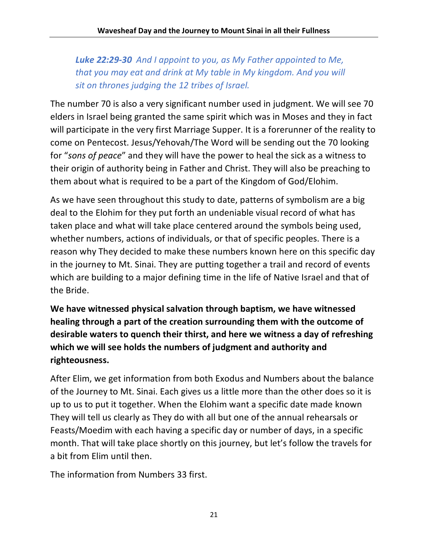*Luke 22:29-30 And I appoint to you, as My Father appointed to Me, that you may eat and drink at My table in My kingdom. And you will sit on thrones judging the 12 tribes of Israel.*

The number 70 is also a very significant number used in judgment. We will see 70 elders in Israel being granted the same spirit which was in Moses and they in fact will participate in the very first Marriage Supper. It is a forerunner of the reality to come on Pentecost. Jesus/Yehovah/The Word will be sending out the 70 looking for "*sons of peace*" and they will have the power to heal the sick as a witness to their origin of authority being in Father and Christ. They will also be preaching to them about what is required to be a part of the Kingdom of God/Elohim.

As we have seen throughout this study to date, patterns of symbolism are a big deal to the Elohim for they put forth an undeniable visual record of what has taken place and what will take place centered around the symbols being used, whether numbers, actions of individuals, or that of specific peoples. There is a reason why They decided to make these numbers known here on this specific day in the journey to Mt. Sinai. They are putting together a trail and record of events which are building to a major defining time in the life of Native Israel and that of the Bride.

**We have witnessed physical salvation through baptism, we have witnessed healing through a part of the creation surrounding them with the outcome of desirable waters to quench their thirst, and here we witness a day of refreshing which we will see holds the numbers of judgment and authority and righteousness.**

After Elim, we get information from both Exodus and Numbers about the balance of the Journey to Mt. Sinai. Each gives us a little more than the other does so it is up to us to put it together. When the Elohim want a specific date made known They will tell us clearly as They do with all but one of the annual rehearsals or Feasts/Moedim with each having a specific day or number of days, in a specific month. That will take place shortly on this journey, but let's follow the travels for a bit from Elim until then.

The information from Numbers 33 first.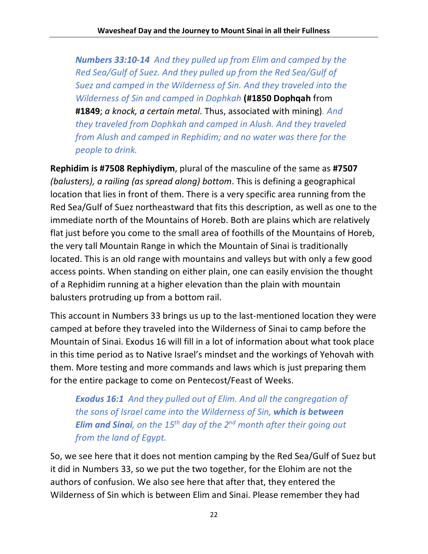*Numbers 33:10-14 And they pulled up from Elim and camped by the Red Sea/Gulf of Suez. And they pulled up from the Red Sea/Gulf of Suez and camped in the Wilderness of Sin. And they traveled into the Wilderness of Sin and camped in Dophkah* **(#1850 Dophqah** from **#1849**; *a knock, a certain metal*. Thus, associated with mining)*. And they traveled from Dophkah and camped in Alush. And they traveled from Alush and camped in Rephidim; and no water was there for the people to drink.*

**Rephidim is #7508 Rephiydiym**, plural of the masculine of the same as **#7507** *(balusters), a railing (as spread along) bottom*. This is defining a geographical location that lies in front of them. There is a very specific area running from the Red Sea/Gulf of Suez northeastward that fits this description, as well as one to the immediate north of the Mountains of Horeb. Both are plains which are relatively flat just before you come to the small area of foothills of the Mountains of Horeb, the very tall Mountain Range in which the Mountain of Sinai is traditionally located. This is an old range with mountains and valleys but with only a few good access points. When standing on either plain, one can easily envision the thought of a Rephidim running at a higher elevation than the plain with mountain balusters protruding up from a bottom rail.

This account in Numbers 33 brings us up to the last-mentioned location they were camped at before they traveled into the Wilderness of Sinai to camp before the Mountain of Sinai. Exodus 16 will fill in a lot of information about what took place in this time period as to Native Israel's mindset and the workings of Yehovah with them. More testing and more commands and laws which is just preparing them for the entire package to come on Pentecost/Feast of Weeks.

*Exodus 16:1 And they pulled out of Elim. And all the congregation of the sons of Israel came into the Wilderness of Sin, which is between Elim and Sinai, on the 15th day of the 2nd month after their going out from the land of Egypt.*

So, we see here that it does not mention camping by the Red Sea/Gulf of Suez but it did in Numbers 33, so we put the two together, for the Elohim are not the authors of confusion. We also see here that after that, they entered the Wilderness of Sin which is between Elim and Sinai. Please remember they had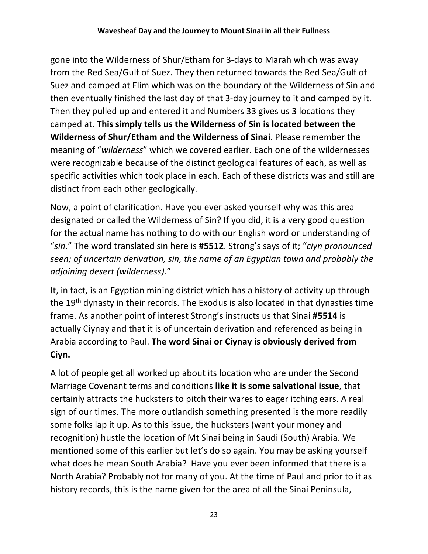gone into the Wilderness of Shur/Etham for 3-days to Marah which was away from the Red Sea/Gulf of Suez. They then returned towards the Red Sea/Gulf of Suez and camped at Elim which was on the boundary of the Wilderness of Sin and then eventually finished the last day of that 3-day journey to it and camped by it. Then they pulled up and entered it and Numbers 33 gives us 3 locations they camped at. **This simply tells us the Wilderness of Sin is located between the Wilderness of Shur/Etham and the Wilderness of Sinai**. Please remember the meaning of "*wilderness*" which we covered earlier. Each one of the wildernesses were recognizable because of the distinct geological features of each, as well as specific activities which took place in each. Each of these districts was and still are distinct from each other geologically.

Now, a point of clarification. Have you ever asked yourself why was this area designated or called the Wilderness of Sin? If you did, it is a very good question for the actual name has nothing to do with our English word or understanding of "*sin*." The word translated sin here is **#5512**. Strong's says of it; "*ciyn pronounced seen; of uncertain derivation, sin, the name of an Egyptian town and probably the adjoining desert (wilderness).*"

It, in fact, is an Egyptian mining district which has a history of activity up through the 19th dynasty in their records. The Exodus is also located in that dynasties time frame. As another point of interest Strong's instructs us that Sinai **#5514** is actually Ciynay and that it is of uncertain derivation and referenced as being in Arabia according to Paul. **The word Sinai or Ciynay is obviously derived from Ciyn.**

A lot of people get all worked up about its location who are under the Second Marriage Covenant terms and conditions **like it is some salvational issue**, that certainly attracts the hucksters to pitch their wares to eager itching ears. A real sign of our times. The more outlandish something presented is the more readily some folks lap it up. As to this issue, the hucksters (want your money and recognition) hustle the location of Mt Sinai being in Saudi (South) Arabia. We mentioned some of this earlier but let's do so again. You may be asking yourself what does he mean South Arabia? Have you ever been informed that there is a North Arabia? Probably not for many of you. At the time of Paul and prior to it as history records, this is the name given for the area of all the Sinai Peninsula,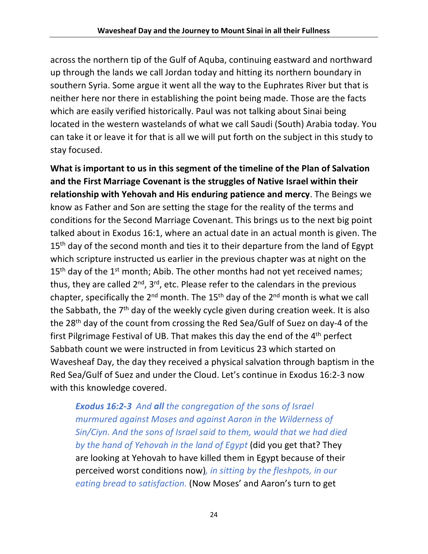across the northern tip of the Gulf of Aquba, continuing eastward and northward up through the lands we call Jordan today and hitting its northern boundary in southern Syria. Some argue it went all the way to the Euphrates River but that is neither here nor there in establishing the point being made. Those are the facts which are easily verified historically. Paul was not talking about Sinai being located in the western wastelands of what we call Saudi (South) Arabia today. You can take it or leave it for that is all we will put forth on the subject in this study to stay focused.

**What is important to us in this segment of the timeline of the Plan of Salvation and the First Marriage Covenant is the struggles of Native Israel within their relationship with Yehovah and His enduring patience and mercy**. The Beings we know as Father and Son are setting the stage for the reality of the terms and conditions for the Second Marriage Covenant. This brings us to the next big point talked about in Exodus 16:1, where an actual date in an actual month is given. The 15<sup>th</sup> day of the second month and ties it to their departure from the land of Egypt which scripture instructed us earlier in the previous chapter was at night on the 15<sup>th</sup> day of the 1<sup>st</sup> month; Abib. The other months had not yet received names; thus, they are called  $2^{nd}$ ,  $3^{rd}$ , etc. Please refer to the calendars in the previous chapter, specifically the  $2^{nd}$  month. The 15<sup>th</sup> day of the  $2^{nd}$  month is what we call the Sabbath, the 7<sup>th</sup> day of the weekly cycle given during creation week. It is also the 28th day of the count from crossing the Red Sea/Gulf of Suez on day-4 of the first Pilgrimage Festival of UB. That makes this day the end of the 4th perfect Sabbath count we were instructed in from Leviticus 23 which started on Wavesheaf Day, the day they received a physical salvation through baptism in the Red Sea/Gulf of Suez and under the Cloud. Let's continue in Exodus 16:2-3 now with this knowledge covered.

*Exodus 16:2-3 And all the congregation of the sons of Israel murmured against Moses and against Aaron in the Wilderness of Sin/Ciyn. And the sons of Israel said to them, would that we had died by the hand of Yehovah in the land of Egypt* (did you get that? They are looking at Yehovah to have killed them in Egypt because of their perceived worst conditions now)*, in sitting by the fleshpots, in our eating bread to satisfaction.* (Now Moses' and Aaron's turn to get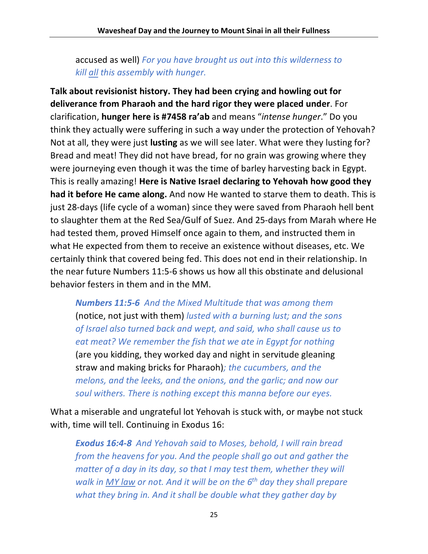accused as well) *For you have brought us out into this wilderness to kill all this assembly with hunger.*

**Talk about revisionist history. They had been crying and howling out for deliverance from Pharaoh and the hard rigor they were placed under**. For clarification, **hunger here is #7458 ra'ab** and means "*intense hunger*." Do you think they actually were suffering in such a way under the protection of Yehovah? Not at all, they were just **lusting** as we will see later. What were they lusting for? Bread and meat! They did not have bread, for no grain was growing where they were journeying even though it was the time of barley harvesting back in Egypt. This is really amazing! **Here is Native Israel declaring to Yehovah how good they had it before He came along.** And now He wanted to starve them to death. This is just 28-days (life cycle of a woman) since they were saved from Pharaoh hell bent to slaughter them at the Red Sea/Gulf of Suez. And 25-days from Marah where He had tested them, proved Himself once again to them, and instructed them in what He expected from them to receive an existence without diseases, etc. We certainly think that covered being fed. This does not end in their relationship. In the near future Numbers 11:5-6 shows us how all this obstinate and delusional behavior festers in them and in the MM.

*Numbers 11:5-6 And the Mixed Multitude that was among them*  (notice, not just with them) *lusted with a burning lust; and the sons of Israel also turned back and wept, and said, who shall cause us to eat meat? We remember the fish that we ate in Egypt for nothing*  (are you kidding, they worked day and night in servitude gleaning straw and making bricks for Pharaoh)*; the cucumbers, and the melons, and the leeks, and the onions, and the garlic; and now our soul withers. There is nothing except this manna before our eyes.*

What a miserable and ungrateful lot Yehovah is stuck with, or maybe not stuck with, time will tell. Continuing in Exodus 16:

*Exodus 16:4-8 And Yehovah said to Moses, behold, I will rain bread from the heavens for you. And the people shall go out and gather the matter of a day in its day, so that I may test them, whether they will walk in MY law or not. And it will be on the 6th day they shall prepare what they bring in. And it shall be double what they gather day by*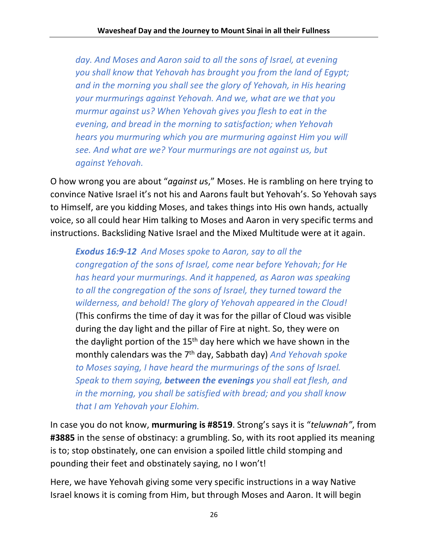*day. And Moses and Aaron said to all the sons of Israel, at evening you shall know that Yehovah has brought you from the land of Egypt; and in the morning you shall see the glory of Yehovah, in His hearing your murmurings against Yehovah. And we, what are we that you murmur against us? When Yehovah gives you flesh to eat in the evening, and bread in the morning to satisfaction; when Yehovah hears you murmuring which you are murmuring against Him you will see. And what are we? Your murmurings are not against us, but against Yehovah.*

O how wrong you are about "*against u*s," Moses. He is rambling on here trying to convince Native Israel it's not his and Aarons fault but Yehovah's. So Yehovah says to Himself, are you kidding Moses, and takes things into His own hands, actually voice, so all could hear Him talking to Moses and Aaron in very specific terms and instructions. Backsliding Native Israel and the Mixed Multitude were at it again.

*Exodus 16:9-12 And Moses spoke to Aaron, say to all the congregation of the sons of Israel, come near before Yehovah; for He has heard your murmurings. And it happened, as Aaron was speaking to all the congregation of the sons of Israel, they turned toward the wilderness, and behold! The glory of Yehovah appeared in the Cloud!*  (This confirms the time of day it was for the pillar of Cloud was visible during the day light and the pillar of Fire at night. So, they were on the daylight portion of the  $15<sup>th</sup>$  day here which we have shown in the monthly calendars was the 7th day, Sabbath day) *And Yehovah spoke to Moses saying, I have heard the murmurings of the sons of Israel. Speak to them saying, between the evenings you shall eat flesh, and in the morning, you shall be satisfied with bread; and you shall know that I am Yehovah your Elohim.*

In case you do not know, **murmuring is #8519**. Strong's says it is "*teluwnah"*, from **#3885** in the sense of obstinacy: a grumbling. So, with its root applied its meaning is to; stop obstinately, one can envision a spoiled little child stomping and pounding their feet and obstinately saying, no I won't!

Here, we have Yehovah giving some very specific instructions in a way Native Israel knows it is coming from Him, but through Moses and Aaron. It will begin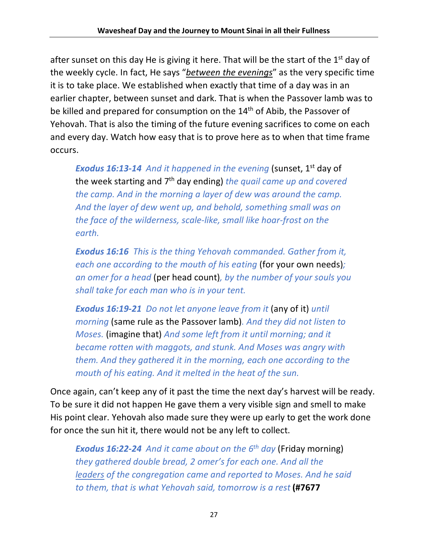after sunset on this day He is giving it here. That will be the start of the  $1<sup>st</sup>$  day of the weekly cycle. In fact, He says "*between the evenings*" as the very specific time it is to take place. We established when exactly that time of a day was in an earlier chapter, between sunset and dark. That is when the Passover lamb was to be killed and prepared for consumption on the 14<sup>th</sup> of Abib, the Passover of Yehovah. That is also the timing of the future evening sacrifices to come on each and every day. Watch how easy that is to prove here as to when that time frame occurs.

*Exodus 16:13-14 And it happened in the evening* (sunset, 1st day of the week starting and 7th day ending) *the quail came up and covered the camp. And in the morning a layer of dew was around the camp. And the layer of dew went up, and behold, something small was on the face of the wilderness, scale-like, small like hoar-frost on the earth.*

*Exodus 16:16 This is the thing Yehovah commanded. Gather from it, each one according to the mouth of his eating* (for your own needs)*; an omer for a head* (per head count)*, by the number of your souls you shall take for each man who is in your tent.*

*Exodus 16:19-21 Do not let anyone leave from it* (any of it) *until morning* (same rule as the Passover lamb)*. And they did not listen to Moses.* (imagine that) *And some left from it until morning; and it became rotten with maggots, and stunk. And Moses was angry with them. And they gathered it in the morning, each one according to the mouth of his eating. And it melted in the heat of the sun.*

Once again, can't keep any of it past the time the next day's harvest will be ready. To be sure it did not happen He gave them a very visible sign and smell to make His point clear. Yehovah also made sure they were up early to get the work done for once the sun hit it, there would not be any left to collect.

*Exodus 16:22-24 And it came about on the 6th day* (Friday morning) *they gathered double bread, 2 omer's for each one. And all the leaders of the congregation came and reported to Moses. And he said to them, that is what Yehovah said, tomorrow is a rest* **(#7677**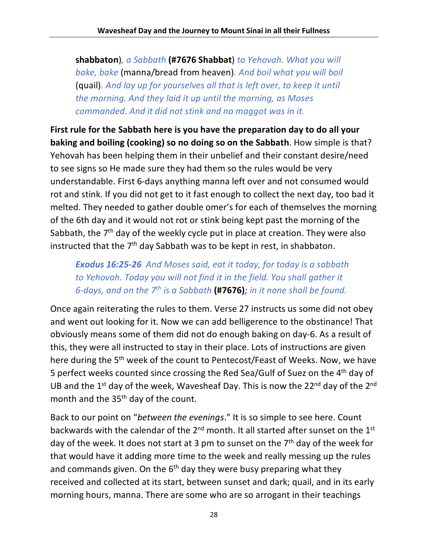**shabbaton**)*, a Sabbath* **(#7676 Shabbat**) *to Yehovah. What you will bake, bake* (manna/bread from heaven)*. And boil what you will boil*  (quail)*. And lay up for yourselves all that is left over, to keep it until the morning. And they laid it up until the morning, as Moses commanded. And it did not stink and no maggot was in it.*

**First rule for the Sabbath here is you have the preparation day to do all your baking and boiling (cooking) so no doing so on the Sabbath**. How simple is that? Yehovah has been helping them in their unbelief and their constant desire/need to see signs so He made sure they had them so the rules would be very understandable. First 6-days anything manna left over and not consumed would rot and stink. If you did not get to it fast enough to collect the next day, too bad it melted. They needed to gather double omer's for each of themselves the morning of the 6th day and it would not rot or stink being kept past the morning of the Sabbath, the 7<sup>th</sup> day of the weekly cycle put in place at creation. They were also instructed that the  $7<sup>th</sup>$  day Sabbath was to be kept in rest, in shabbaton.

*Exodus 16:25-26 And Moses said, eat it today, for today is a sabbath to Yehovah. Today you will not find it in the field. You shall gather it 6-days, and on the 7th is a Sabbath* **(#7676)***; in it none shall be found.*

Once again reiterating the rules to them. Verse 27 instructs us some did not obey and went out looking for it. Now we can add belligerence to the obstinance! That obviously means some of them did not do enough baking on day-6. As a result of this, they were all instructed to stay in their place. Lots of instructions are given here during the 5<sup>th</sup> week of the count to Pentecost/Feast of Weeks. Now, we have 5 perfect weeks counted since crossing the Red Sea/Gulf of Suez on the 4th day of UB and the  $1^{st}$  day of the week, Wavesheaf Day. This is now the 2 $2^{nd}$  day of the  $2^{nd}$ month and the 35<sup>th</sup> day of the count.

Back to our point on "*between the evenings*." It is so simple to see here. Count backwards with the calendar of the 2<sup>nd</sup> month. It all started after sunset on the 1<sup>st</sup> day of the week. It does not start at 3 pm to sunset on the 7<sup>th</sup> day of the week for that would have it adding more time to the week and really messing up the rules and commands given. On the  $6<sup>th</sup>$  day they were busy preparing what they received and collected at its start, between sunset and dark; quail, and in its early morning hours, manna. There are some who are so arrogant in their teachings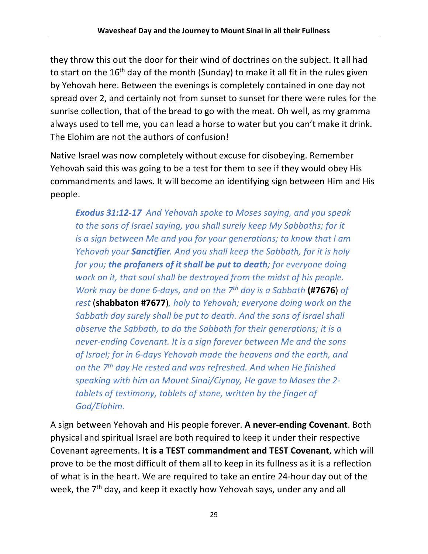they throw this out the door for their wind of doctrines on the subject. It all had to start on the  $16<sup>th</sup>$  day of the month (Sunday) to make it all fit in the rules given by Yehovah here. Between the evenings is completely contained in one day not spread over 2, and certainly not from sunset to sunset for there were rules for the sunrise collection, that of the bread to go with the meat. Oh well, as my gramma always used to tell me, you can lead a horse to water but you can't make it drink. The Elohim are not the authors of confusion!

Native Israel was now completely without excuse for disobeying. Remember Yehovah said this was going to be a test for them to see if they would obey His commandments and laws. It will become an identifying sign between Him and His people.

*Exodus 31:12-17 And Yehovah spoke to Moses saying, and you speak to the sons of Israel saying, you shall surely keep My Sabbaths; for it is a sign between Me and you for your generations; to know that I am Yehovah your Sanctifier. And you shall keep the Sabbath, for it is holy for you; the profaners of it shall be put to death; for everyone doing work on it, that soul shall be destroyed from the midst of his people. Work may be done 6-days, and on the 7th day is a Sabbath* **(#7676**) *of rest* (**shabbaton #7677**)*, holy to Yehovah; everyone doing work on the Sabbath day surely shall be put to death. And the sons of Israel shall observe the Sabbath, to do the Sabbath for their generations; it is a never-ending Covenant. It is a sign forever between Me and the sons of Israel; for in 6-days Yehovah made the heavens and the earth, and on the 7th day He rested and was refreshed. And when He finished speaking with him on Mount Sinai/Ciynay, He gave to Moses the 2 tablets of testimony, tablets of stone, written by the finger of God/Elohim.*

A sign between Yehovah and His people forever. **A never-ending Covenant**. Both physical and spiritual Israel are both required to keep it under their respective Covenant agreements. **It is a TEST commandment and TEST Covenant**, which will prove to be the most difficult of them all to keep in its fullness as it is a reflection of what is in the heart. We are required to take an entire 24-hour day out of the week, the 7<sup>th</sup> day, and keep it exactly how Yehovah says, under any and all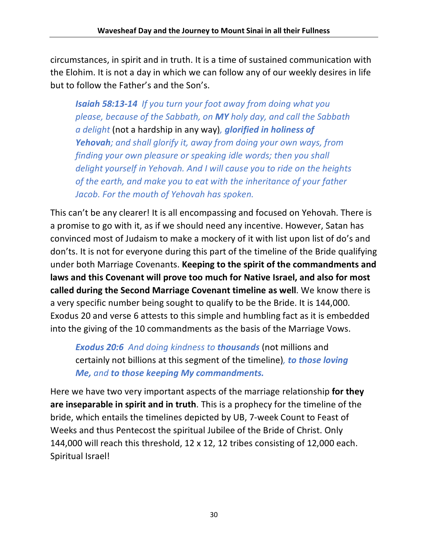circumstances, in spirit and in truth. It is a time of sustained communication with the Elohim. It is not a day in which we can follow any of our weekly desires in life but to follow the Father's and the Son's.

*Isaiah 58:13-14 If you turn your foot away from doing what you please, because of the Sabbath, on MY holy day, and call the Sabbath a delight* (not a hardship in any way)*, glorified in holiness of Yehovah; and shall glorify it, away from doing your own ways, from finding your own pleasure or speaking idle words; then you shall delight yourself in Yehovah. And I will cause you to ride on the heights of the earth, and make you to eat with the inheritance of your father Jacob. For the mouth of Yehovah has spoken.*

This can't be any clearer! It is all encompassing and focused on Yehovah. There is a promise to go with it, as if we should need any incentive. However, Satan has convinced most of Judaism to make a mockery of it with list upon list of do's and don'ts. It is not for everyone during this part of the timeline of the Bride qualifying under both Marriage Covenants. **Keeping to the spirit of the commandments and laws and this Covenant will prove too much for Native Israel, and also for most called during the Second Marriage Covenant timeline as well**. We know there is a very specific number being sought to qualify to be the Bride. It is 144,000. Exodus 20 and verse 6 attests to this simple and humbling fact as it is embedded into the giving of the 10 commandments as the basis of the Marriage Vows.

*Exodus 20:6 And doing kindness to thousands* (not millions and certainly not billions at this segment of the timeline)*, to those loving Me, and to those keeping My commandments.*

Here we have two very important aspects of the marriage relationship **for they are inseparable in spirit and in truth**. This is a prophecy for the timeline of the bride, which entails the timelines depicted by UB, 7-week Count to Feast of Weeks and thus Pentecost the spiritual Jubilee of the Bride of Christ. Only 144,000 will reach this threshold, 12 x 12, 12 tribes consisting of 12,000 each. Spiritual Israel!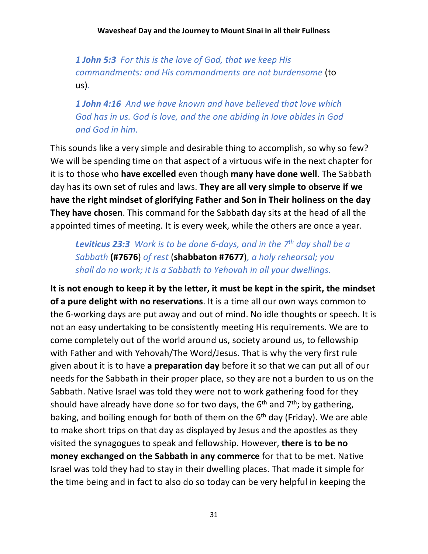*1 John 5:3 For this is the love of God, that we keep His commandments: and His commandments are not burdensome* (to us)*.*

*1 John 4:16 And we have known and have believed that love which God has in us. God is love, and the one abiding in love abides in God and God in him.*

This sounds like a very simple and desirable thing to accomplish, so why so few? We will be spending time on that aspect of a virtuous wife in the next chapter for it is to those who **have excelled** even though **many have done well**. The Sabbath day has its own set of rules and laws. **They are all very simple to observe if we have the right mindset of glorifying Father and Son in Their holiness on the day They have chosen**. This command for the Sabbath day sits at the head of all the appointed times of meeting. It is every week, while the others are once a year.

*Leviticus 23:3 Work is to be done 6-days, and in the 7th day shall be a Sabbath* **(#7676**) *of rest* (**shabbaton #7677**)*, a holy rehearsal; you shall do no work; it is a Sabbath to Yehovah in all your dwellings.*

**It is not enough to keep it by the letter, it must be kept in the spirit, the mindset of a pure delight with no reservations**. It is a time all our own ways common to the 6-working days are put away and out of mind. No idle thoughts or speech. It is not an easy undertaking to be consistently meeting His requirements. We are to come completely out of the world around us, society around us, to fellowship with Father and with Yehovah/The Word/Jesus. That is why the very first rule given about it is to have **a preparation day** before it so that we can put all of our needs for the Sabbath in their proper place, so they are not a burden to us on the Sabbath. Native Israel was told they were not to work gathering food for they should have already have done so for two days, the  $6<sup>th</sup>$  and  $7<sup>th</sup>$ ; by gathering, baking, and boiling enough for both of them on the 6<sup>th</sup> day (Friday). We are able to make short trips on that day as displayed by Jesus and the apostles as they visited the synagogues to speak and fellowship. However, **there is to be no money exchanged on the Sabbath in any commerce** for that to be met. Native Israel was told they had to stay in their dwelling places. That made it simple for the time being and in fact to also do so today can be very helpful in keeping the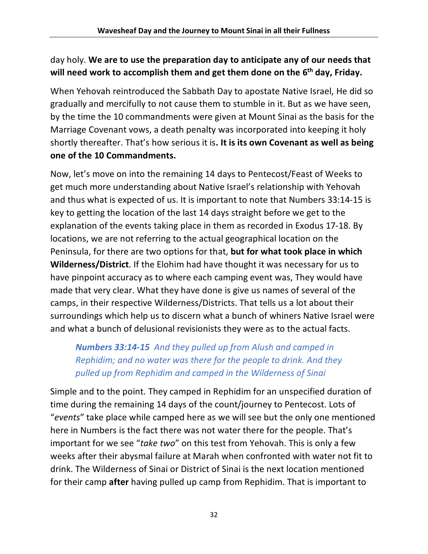### day holy. **We are to use the preparation day to anticipate any of our needs that will need work to accomplish them and get them done on the 6th day, Friday.**

When Yehovah reintroduced the Sabbath Day to apostate Native Israel, He did so gradually and mercifully to not cause them to stumble in it. But as we have seen, by the time the 10 commandments were given at Mount Sinai as the basis for the Marriage Covenant vows, a death penalty was incorporated into keeping it holy shortly thereafter. That's how serious it is**. It is its own Covenant as well as being one of the 10 Commandments.** 

Now, let's move on into the remaining 14 days to Pentecost/Feast of Weeks to get much more understanding about Native Israel's relationship with Yehovah and thus what is expected of us. It is important to note that Numbers 33:14-15 is key to getting the location of the last 14 days straight before we get to the explanation of the events taking place in them as recorded in Exodus 17-18. By locations, we are not referring to the actual geographical location on the Peninsula, for there are two options for that, **but for what took place in which Wilderness/District**. If the Elohim had have thought it was necessary for us to have pinpoint accuracy as to where each camping event was, They would have made that very clear. What they have done is give us names of several of the camps, in their respective Wilderness/Districts. That tells us a lot about their surroundings which help us to discern what a bunch of whiners Native Israel were and what a bunch of delusional revisionists they were as to the actual facts.

## *Numbers 33:14-15 And they pulled up from Alush and camped in Rephidim; and no water was there for the people to drink. And they pulled up from Rephidim and camped in the Wilderness of Sinai*

Simple and to the point. They camped in Rephidim for an unspecified duration of time during the remaining 14 days of the count/journey to Pentecost. Lots of "*events*" take place while camped here as we will see but the only one mentioned here in Numbers is the fact there was not water there for the people. That's important for we see "*take two*" on this test from Yehovah. This is only a few weeks after their abysmal failure at Marah when confronted with water not fit to drink. The Wilderness of Sinai or District of Sinai is the next location mentioned for their camp **after** having pulled up camp from Rephidim. That is important to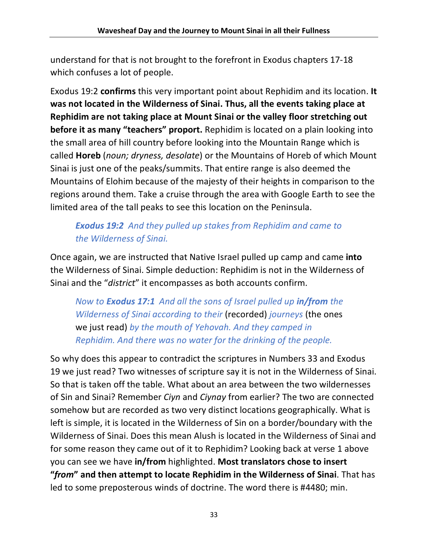understand for that is not brought to the forefront in Exodus chapters 17-18 which confuses a lot of people.

Exodus 19:2 **confirms** this very important point about Rephidim and its location. **It was not located in the Wilderness of Sinai. Thus, all the events taking place at Rephidim are not taking place at Mount Sinai or the valley floor stretching out before it as many "teachers" proport.** Rephidim is located on a plain looking into the small area of hill country before looking into the Mountain Range which is called **Horeb** (*noun; dryness, desolate*) or the Mountains of Horeb of which Mount Sinai is just one of the peaks/summits. That entire range is also deemed the Mountains of Elohim because of the majesty of their heights in comparison to the regions around them. Take a cruise through the area with Google Earth to see the limited area of the tall peaks to see this location on the Peninsula.

## *Exodus 19:2 And they pulled up stakes from Rephidim and came to the Wilderness of Sinai.*

Once again, we are instructed that Native Israel pulled up camp and came **into** the Wilderness of Sinai. Simple deduction: Rephidim is not in the Wilderness of Sinai and the "*district*" it encompasses as both accounts confirm.

*Now to Exodus 17:1 And all the sons of Israel pulled up in/from the Wilderness of Sinai according to their* (recorded) *journeys* (the ones we just read) *by the mouth of Yehovah. And they camped in Rephidim. And there was no water for the drinking of the people.*

So why does this appear to contradict the scriptures in Numbers 33 and Exodus 19 we just read? Two witnesses of scripture say it is not in the Wilderness of Sinai. So that is taken off the table. What about an area between the two wildernesses of Sin and Sinai? Remember *Ciyn* and *Ciynay* from earlier? The two are connected somehow but are recorded as two very distinct locations geographically. What is left is simple, it is located in the Wilderness of Sin on a border/boundary with the Wilderness of Sinai. Does this mean Alush is located in the Wilderness of Sinai and for some reason they came out of it to Rephidim? Looking back at verse 1 above you can see we have **in/from** highlighted. **Most translators chose to insert "***from***" and then attempt to locate Rephidim in the Wilderness of Sinai**. That has led to some preposterous winds of doctrine. The word there is #4480; min.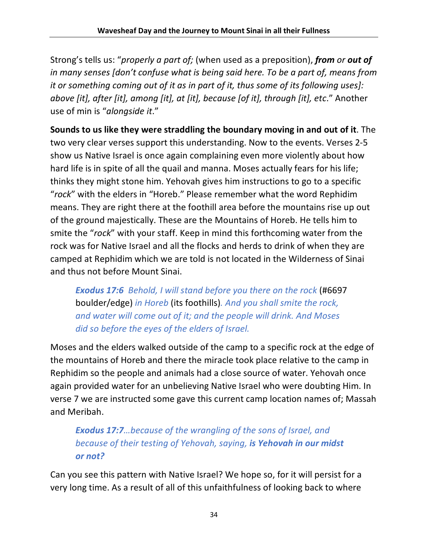Strong's tells us: "*properly a part of;* (when used as a preposition), *from or out of in many senses [don't confuse what is being said here. To be a part of, means from it or something coming out of it as in part of it, thus some of its following uses]: above [it], after [it], among [it], at [it], because [of it], through [it], etc*." Another use of min is "*alongside it*."

**Sounds to us like they were straddling the boundary moving in and out of it**. The two very clear verses support this understanding. Now to the events. Verses 2-5 show us Native Israel is once again complaining even more violently about how hard life is in spite of all the quail and manna. Moses actually fears for his life; thinks they might stone him. Yehovah gives him instructions to go to a specific "*rock*" with the elders in "Horeb." Please remember what the word Rephidim means. They are right there at the foothill area before the mountains rise up out of the ground majestically. These are the Mountains of Horeb. He tells him to smite the "*rock*" with your staff. Keep in mind this forthcoming water from the rock was for Native Israel and all the flocks and herds to drink of when they are camped at Rephidim which we are told is not located in the Wilderness of Sinai and thus not before Mount Sinai.

*Exodus 17:6 Behold, I will stand before you there on the rock* (#6697 boulder/edge) *in Horeb* (its foothills)*. And you shall smite the rock, and water will come out of it; and the people will drink. And Moses did so before the eyes of the elders of Israel.*

Moses and the elders walked outside of the camp to a specific rock at the edge of the mountains of Horeb and there the miracle took place relative to the camp in Rephidim so the people and animals had a close source of water. Yehovah once again provided water for an unbelieving Native Israel who were doubting Him. In verse 7 we are instructed some gave this current camp location names of; Massah and Meribah.

*Exodus 17:7…because of the wrangling of the sons of Israel, and because of their testing of Yehovah, saying, is Yehovah in our midst or not?*

Can you see this pattern with Native Israel? We hope so, for it will persist for a very long time. As a result of all of this unfaithfulness of looking back to where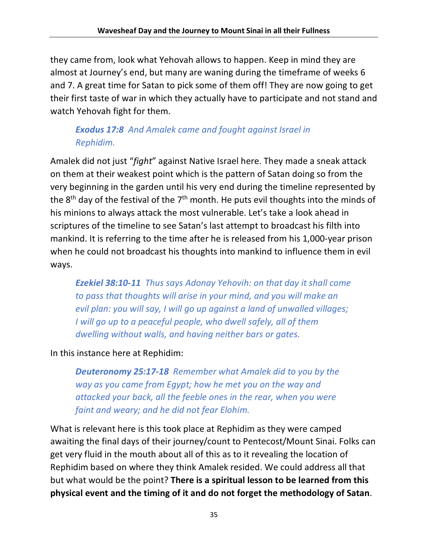they came from, look what Yehovah allows to happen. Keep in mind they are almost at Journey's end, but many are waning during the timeframe of weeks 6 and 7. A great time for Satan to pick some of them off! They are now going to get their first taste of war in which they actually have to participate and not stand and watch Yehovah fight for them.

# *Exodus 17:8 And Amalek came and fought against Israel in Rephidim.*

Amalek did not just "*fight*" against Native Israel here. They made a sneak attack on them at their weakest point which is the pattern of Satan doing so from the very beginning in the garden until his very end during the timeline represented by the  $8<sup>th</sup>$  day of the festival of the  $7<sup>th</sup>$  month. He puts evil thoughts into the minds of his minions to always attack the most vulnerable. Let's take a look ahead in scriptures of the timeline to see Satan's last attempt to broadcast his filth into mankind. It is referring to the time after he is released from his 1,000-year prison when he could not broadcast his thoughts into mankind to influence them in evil ways.

*Ezekiel 38:10-11 Thus says Adonay Yehovih: on that day it shall come to pass that thoughts will arise in your mind, and you will make an evil plan: you will say, I will go up against a land of unwalled villages; I* will go up to a peaceful people, who dwell safely, all of them *dwelling without walls, and having neither bars or gates.*

In this instance here at Rephidim:

*Deuteronomy 25:17-18 Remember what Amalek did to you by the way as you came from Egypt; how he met you on the way and attacked your back, all the feeble ones in the rear, when you were faint and weary; and he did not fear Elohim.*

What is relevant here is this took place at Rephidim as they were camped awaiting the final days of their journey/count to Pentecost/Mount Sinai. Folks can get very fluid in the mouth about all of this as to it revealing the location of Rephidim based on where they think Amalek resided. We could address all that but what would be the point? **There is a spiritual lesson to be learned from this physical event and the timing of it and do not forget the methodology of Satan**.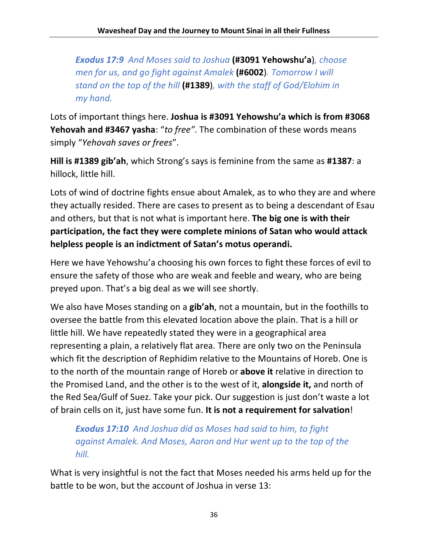*Exodus 17:9 And Moses said to Joshua* **(#3091 Yehowshu'a**)*, choose men for us, and go fight against Amalek* **(#6002**)*. Tomorrow I will stand on the top of the hill* **(#1389**)*, with the staff of God/Elohim in my hand.*

Lots of important things here. **Joshua is #3091 Yehowshu'a which is from #3068 Yehovah and #3467 yasha**: "*to free"*. The combination of these words means simply "*Yehovah saves or frees*".

**Hill is #1389 gib'ah**, which Strong's says is feminine from the same as **#1387**: a hillock, little hill.

Lots of wind of doctrine fights ensue about Amalek, as to who they are and where they actually resided. There are cases to present as to being a descendant of Esau and others, but that is not what is important here. **The big one is with their participation, the fact they were complete minions of Satan who would attack helpless people is an indictment of Satan's motus operandi.**

Here we have Yehowshu'a choosing his own forces to fight these forces of evil to ensure the safety of those who are weak and feeble and weary, who are being preyed upon. That's a big deal as we will see shortly.

We also have Moses standing on a **gib'ah**, not a mountain, but in the foothills to oversee the battle from this elevated location above the plain. That is a hill or little hill. We have repeatedly stated they were in a geographical area representing a plain, a relatively flat area. There are only two on the Peninsula which fit the description of Rephidim relative to the Mountains of Horeb. One is to the north of the mountain range of Horeb or **above it** relative in direction to the Promised Land, and the other is to the west of it, **alongside it,** and north of the Red Sea/Gulf of Suez. Take your pick. Our suggestion is just don't waste a lot of brain cells on it, just have some fun. **It is not a requirement for salvation**!

*Exodus 17:10 And Joshua did as Moses had said to him, to fight against Amalek. And Moses, Aaron and Hur went up to the top of the hill.*

What is very insightful is not the fact that Moses needed his arms held up for the battle to be won, but the account of Joshua in verse 13: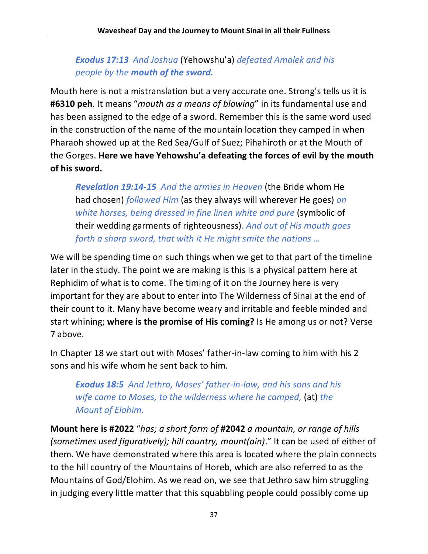*Exodus 17:13 And Joshua* (Yehowshu'a) *defeated Amalek and his people by the mouth of the sword.*

Mouth here is not a mistranslation but a very accurate one. Strong's tells us it is **#6310 peh**. It means "*mouth as a means of blowing*" in its fundamental use and has been assigned to the edge of a sword. Remember this is the same word used in the construction of the name of the mountain location they camped in when Pharaoh showed up at the Red Sea/Gulf of Suez; Pihahiroth or at the Mouth of the Gorges. **Here we have Yehowshu'a defeating the forces of evil by the mouth of his sword.** 

*Revelation 19:14-15 And the armies in Heaven* (the Bride whom He had chosen) *followed Him* (as they always will wherever He goes) *on white horses, being dressed in fine linen white and pure* (symbolic of their wedding garments of righteousness)*. And out of His mouth goes forth a sharp sword, that with it He might smite the nations …*

We will be spending time on such things when we get to that part of the timeline later in the study. The point we are making is this is a physical pattern here at Rephidim of what is to come. The timing of it on the Journey here is very important for they are about to enter into The Wilderness of Sinai at the end of their count to it. Many have become weary and irritable and feeble minded and start whining; **where is the promise of His coming?** Is He among us or not? Verse 7 above.

In Chapter 18 we start out with Moses' father-in-law coming to him with his 2 sons and his wife whom he sent back to him.

*Exodus 18:5 And Jethro, Moses' father-in-law, and his sons and his wife came to Moses, to the wilderness where he camped,* (at) *the Mount of Elohim.*

**Mount here is #2022** "*has; a short form of* **#2042** *a mountain, or range of hills (sometimes used figuratively); hill country, mount(ain)*." It can be used of either of them. We have demonstrated where this area is located where the plain connects to the hill country of the Mountains of Horeb, which are also referred to as the Mountains of God/Elohim. As we read on, we see that Jethro saw him struggling in judging every little matter that this squabbling people could possibly come up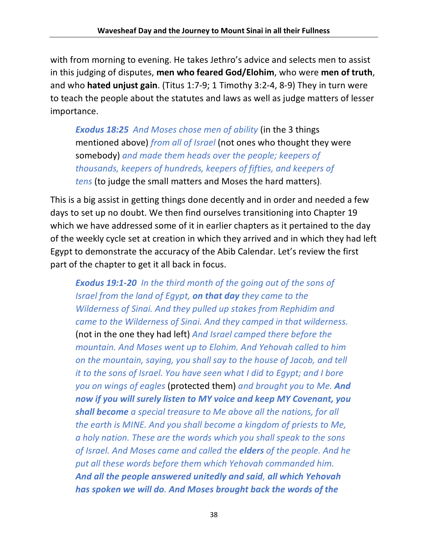with from morning to evening. He takes Jethro's advice and selects men to assist in this judging of disputes, **men who feared God/Elohim**, who were **men of truth**, and who **hated unjust gain**. (Titus 1:7-9; 1 Timothy 3:2-4, 8-9) They in turn were to teach the people about the statutes and laws as well as judge matters of lesser importance.

*Exodus 18:25 And Moses chose men of ability* (in the 3 things mentioned above) *from all of Israel* (not ones who thought they were somebody) *and made them heads over the people; keepers of thousands, keepers of hundreds, keepers of fifties, and keepers of tens* (to judge the small matters and Moses the hard matters)*.*

This is a big assist in getting things done decently and in order and needed a few days to set up no doubt. We then find ourselves transitioning into Chapter 19 which we have addressed some of it in earlier chapters as it pertained to the day of the weekly cycle set at creation in which they arrived and in which they had left Egypt to demonstrate the accuracy of the Abib Calendar. Let's review the first part of the chapter to get it all back in focus.

*Exodus 19:1-20 In the third month of the going out of the sons of Israel from the land of Egypt, on that day they came to the Wilderness of Sinai. And they pulled up stakes from Rephidim and came to the Wilderness of Sinai. And they camped in that wilderness.*  (not in the one they had left) *And Israel camped there before the mountain. And Moses went up to Elohim. And Yehovah called to him on the mountain, saying, you shall say to the house of Jacob, and tell it to the sons of Israel. You have seen what I did to Egypt; and I bore you on wings of eagles* (protected them) *and brought you to Me. And now if you will surely listen to MY voice and keep MY Covenant, you shall become a special treasure to Me above all the nations, for all the earth is MINE. And you shall become a kingdom of priests to Me, a holy nation. These are the words which you shall speak to the sons of Israel. And Moses came and called the elders of the people. And he put all these words before them which Yehovah commanded him. And all the people answered unitedly and said, all which Yehovah has spoken we will do. And Moses brought back the words of the*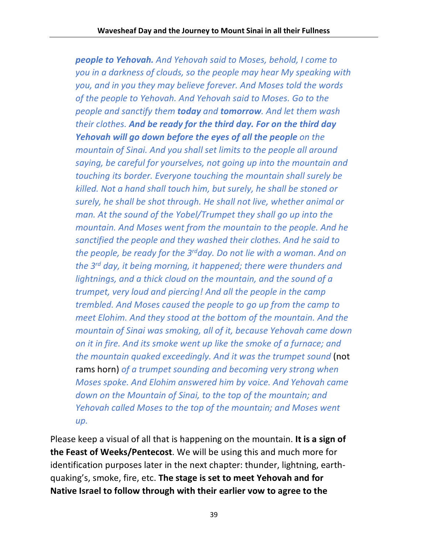*people to Yehovah. And Yehovah said to Moses, behold, I come to you in a darkness of clouds, so the people may hear My speaking with you, and in you they may believe forever. And Moses told the words of the people to Yehovah. And Yehovah said to Moses. Go to the people and sanctify them today and tomorrow. And let them wash their clothes. And be ready for the third day. For on the third day Yehovah will go down before the eyes of all the people on the mountain of Sinai. And you shall set limits to the people all around saying, be careful for yourselves, not going up into the mountain and touching its border. Everyone touching the mountain shall surely be killed. Not a hand shall touch him, but surely, he shall be stoned or surely, he shall be shot through. He shall not live, whether animal or man. At the sound of the Yobel/Trumpet they shall go up into the mountain. And Moses went from the mountain to the people. And he sanctified the people and they washed their clothes. And he said to the people, be ready for the 3rdday. Do not lie with a woman. And on the 3rd day, it being morning, it happened; there were thunders and lightnings, and a thick cloud on the mountain, and the sound of a trumpet, very loud and piercing! And all the people in the camp trembled. And Moses caused the people to go up from the camp to meet Elohim. And they stood at the bottom of the mountain. And the mountain of Sinai was smoking, all of it, because Yehovah came down on it in fire. And its smoke went up like the smoke of a furnace; and the mountain quaked exceedingly. And it was the trumpet sound* (not rams horn) *of a trumpet sounding and becoming very strong when Moses spoke. And Elohim answered him by voice. And Yehovah came down on the Mountain of Sinai, to the top of the mountain; and Yehovah called Moses to the top of the mountain; and Moses went up.*

Please keep a visual of all that is happening on the mountain. **It is a sign of the Feast of Weeks/Pentecost**. We will be using this and much more for identification purposes later in the next chapter: thunder, lightning, earthquaking's, smoke, fire, etc. **The stage is set to meet Yehovah and for Native Israel to follow through with their earlier vow to agree to the**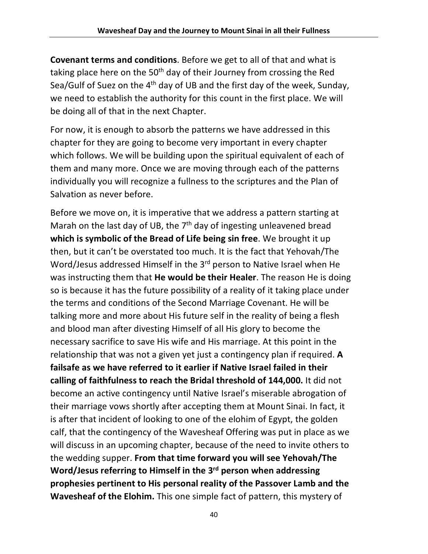**Covenant terms and conditions**. Before we get to all of that and what is taking place here on the 50<sup>th</sup> day of their Journey from crossing the Red Sea/Gulf of Suez on the 4<sup>th</sup> day of UB and the first day of the week, Sunday, we need to establish the authority for this count in the first place. We will be doing all of that in the next Chapter.

For now, it is enough to absorb the patterns we have addressed in this chapter for they are going to become very important in every chapter which follows. We will be building upon the spiritual equivalent of each of them and many more. Once we are moving through each of the patterns individually you will recognize a fullness to the scriptures and the Plan of Salvation as never before.

Before we move on, it is imperative that we address a pattern starting at Marah on the last day of UB, the  $7<sup>th</sup>$  day of ingesting unleavened bread **which is symbolic of the Bread of Life being sin free**. We brought it up then, but it can't be overstated too much. It is the fact that Yehovah/The Word/Jesus addressed Himself in the 3<sup>rd</sup> person to Native Israel when He was instructing them that **He would be their Healer**. The reason He is doing so is because it has the future possibility of a reality of it taking place under the terms and conditions of the Second Marriage Covenant. He will be talking more and more about His future self in the reality of being a flesh and blood man after divesting Himself of all His glory to become the necessary sacrifice to save His wife and His marriage. At this point in the relationship that was not a given yet just a contingency plan if required. **A failsafe as we have referred to it earlier if Native Israel failed in their calling of faithfulness to reach the Bridal threshold of 144,000.** It did not become an active contingency until Native Israel's miserable abrogation of their marriage vows shortly after accepting them at Mount Sinai. In fact, it is after that incident of looking to one of the elohim of Egypt, the golden calf, that the contingency of the Wavesheaf Offering was put in place as we will discuss in an upcoming chapter, because of the need to invite others to the wedding supper. **From that time forward you will see Yehovah/The Word/Jesus referring to Himself in the 3rd person when addressing prophesies pertinent to His personal reality of the Passover Lamb and the Wavesheaf of the Elohim.** This one simple fact of pattern, this mystery of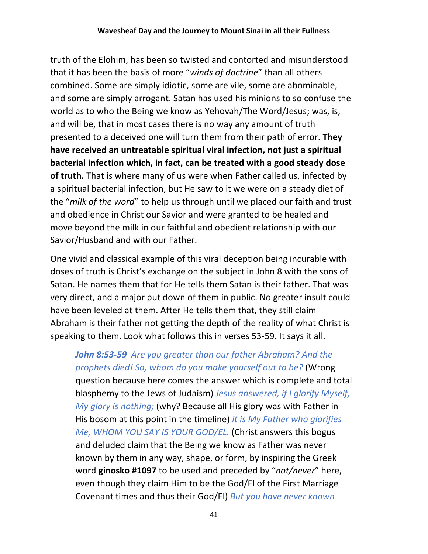truth of the Elohim, has been so twisted and contorted and misunderstood that it has been the basis of more "*winds of doctrine*" than all others combined. Some are simply idiotic, some are vile, some are abominable, and some are simply arrogant. Satan has used his minions to so confuse the world as to who the Being we know as Yehovah/The Word/Jesus; was, is, and will be, that in most cases there is no way any amount of truth presented to a deceived one will turn them from their path of error. **They have received an untreatable spiritual viral infection, not just a spiritual bacterial infection which, in fact, can be treated with a good steady dose of truth.** That is where many of us were when Father called us, infected by a spiritual bacterial infection, but He saw to it we were on a steady diet of the "*milk of the word*" to help us through until we placed our faith and trust and obedience in Christ our Savior and were granted to be healed and move beyond the milk in our faithful and obedient relationship with our Savior/Husband and with our Father.

One vivid and classical example of this viral deception being incurable with doses of truth is Christ's exchange on the subject in John 8 with the sons of Satan. He names them that for He tells them Satan is their father. That was very direct, and a major put down of them in public. No greater insult could have been leveled at them. After He tells them that, they still claim Abraham is their father not getting the depth of the reality of what Christ is speaking to them. Look what follows this in verses 53-59. It says it all.

*John 8:53-59 Are you greater than our father Abraham? And the prophets died! So, whom do you make yourself out to be?* (Wrong question because here comes the answer which is complete and total blasphemy to the Jews of Judaism) *Jesus answered, if I glorify Myself, My glory is nothing;* (why? Because all His glory was with Father in His bosom at this point in the timeline) *it is My Father who glorifies Me, WHOM YOU SAY IS YOUR GOD/EL.* (Christ answers this bogus and deluded claim that the Being we know as Father was never known by them in any way, shape, or form, by inspiring the Greek word **ginosko #1097** to be used and preceded by "*not/never*" here, even though they claim Him to be the God/El of the First Marriage Covenant times and thus their God/El) *But you have never known*